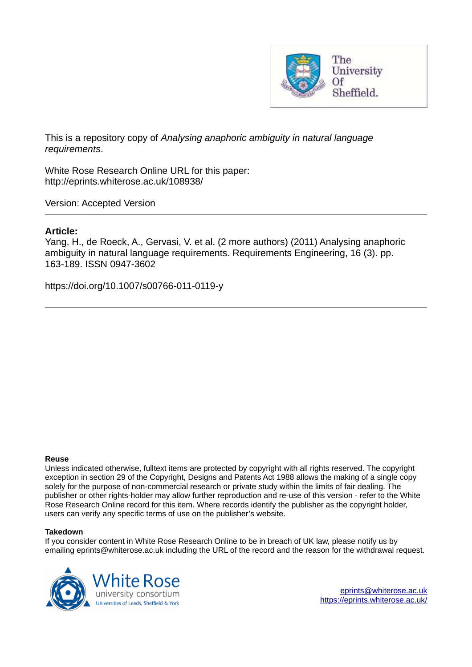

This is a repository copy of *Analysing anaphoric ambiguity in natural language requirements*.

White Rose Research Online URL for this paper: http://eprints.whiterose.ac.uk/108938/

Version: Accepted Version

### **Article:**

Yang, H., de Roeck, A., Gervasi, V. et al. (2 more authors) (2011) Analysing anaphoric ambiguity in natural language requirements. Requirements Engineering, 16 (3). pp. 163-189. ISSN 0947-3602

https://doi.org/10.1007/s00766-011-0119-y

#### **Reuse**

Unless indicated otherwise, fulltext items are protected by copyright with all rights reserved. The copyright exception in section 29 of the Copyright, Designs and Patents Act 1988 allows the making of a single copy solely for the purpose of non-commercial research or private study within the limits of fair dealing. The publisher or other rights-holder may allow further reproduction and re-use of this version - refer to the White Rose Research Online record for this item. Where records identify the publisher as the copyright holder, users can verify any specific terms of use on the publisher's website.

#### **Takedown**

If you consider content in White Rose Research Online to be in breach of UK law, please notify us by emailing eprints@whiterose.ac.uk including the URL of the record and the reason for the withdrawal request.

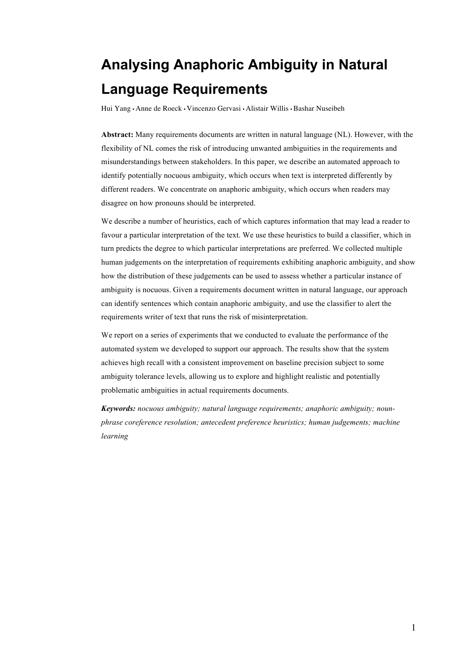# **Analysing Anaphoric Ambiguity in Natural Language Requirements**

Hui Yang • Anne de Roeck • Vincenzo Gervasi • Alistair Willis • Bashar Nuseibeh

**Abstract:** Many requirements documents are written in natural language (NL). However, with the flexibility of NL comes the risk of introducing unwanted ambiguities in the requirements and misunderstandings between stakeholders. In this paper, we describe an automated approach to identify potentially nocuous ambiguity, which occurs when text is interpreted differently by different readers. We concentrate on anaphoric ambiguity, which occurs when readers may disagree on how pronouns should be interpreted.

We describe a number of heuristics, each of which captures information that may lead a reader to favour a particular interpretation of the text. We use these heuristics to build a classifier, which in turn predicts the degree to which particular interpretations are preferred. We collected multiple human judgements on the interpretation of requirements exhibiting anaphoric ambiguity, and show how the distribution of these judgements can be used to assess whether a particular instance of ambiguity is nocuous. Given a requirements document written in natural language, our approach can identify sentences which contain anaphoric ambiguity, and use the classifier to alert the requirements writer of text that runs the risk of misinterpretation.

We report on a series of experiments that we conducted to evaluate the performance of the automated system we developed to support our approach. The results show that the system achieves high recall with a consistent improvement on baseline precision subject to some ambiguity tolerance levels, allowing us to explore and highlight realistic and potentially problematic ambiguities in actual requirements documents.

*Keywords: nocuous ambiguity; natural language requirements; anaphoric ambiguity; nounphrase coreference resolution; antecedent preference heuristics; human judgements; machine learning*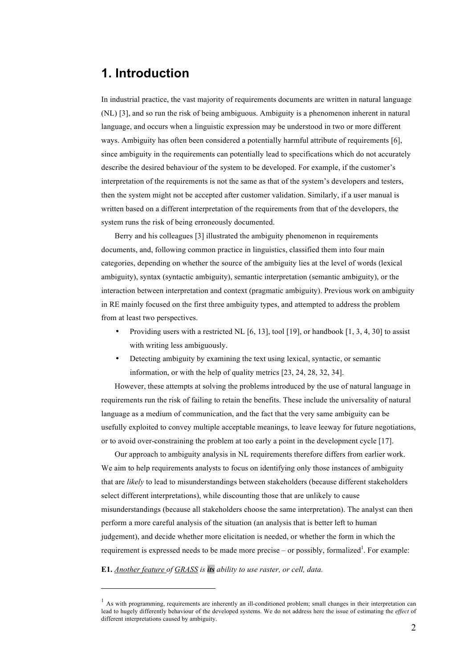# **1. Introduction**

In industrial practice, the vast majority of requirements documents are written in natural language (NL) [3], and so run the risk of being ambiguous. Ambiguity is a phenomenon inherent in natural language, and occurs when a linguistic expression may be understood in two or more different ways. Ambiguity has often been considered a potentially harmful attribute of requirements [6], since ambiguity in the requirements can potentially lead to specifications which do not accurately describe the desired behaviour of the system to be developed. For example, if the customer's interpretation of the requirements is not the same as that of the system's developers and testers, then the system might not be accepted after customer validation. Similarly, if a user manual is written based on a different interpretation of the requirements from that of the developers, the system runs the risk of being erroneously documented.

Berry and his colleagues [3] illustrated the ambiguity phenomenon in requirements documents, and, following common practice in linguistics, classified them into four main categories, depending on whether the source of the ambiguity lies at the level of words (lexical ambiguity), syntax (syntactic ambiguity), semantic interpretation (semantic ambiguity), or the interaction between interpretation and context (pragmatic ambiguity). Previous work on ambiguity in RE mainly focused on the first three ambiguity types, and attempted to address the problem from at least two perspectives.

- Providing users with a restricted NL  $[6, 13]$ , tool  $[19]$ , or handbook  $[1, 3, 4, 30]$  to assist with writing less ambiguously.
- Detecting ambiguity by examining the text using lexical, syntactic, or semantic information, or with the help of quality metrics [23, 24, 28, 32, 34].

However, these attempts at solving the problems introduced by the use of natural language in requirements run the risk of failing to retain the benefits. These include the universality of natural language as a medium of communication, and the fact that the very same ambiguity can be usefully exploited to convey multiple acceptable meanings, to leave leeway for future negotiations, or to avoid over-constraining the problem at too early a point in the development cycle [17].

Our approach to ambiguity analysis in NL requirements therefore differs from earlier work. We aim to help requirements analysts to focus on identifying only those instances of ambiguity that are *likely* to lead to misunderstandings between stakeholders (because different stakeholders select different interpretations), while discounting those that are unlikely to cause misunderstandings (because all stakeholders choose the same interpretation). The analyst can then perform a more careful analysis of the situation (an analysis that is better left to human judgement), and decide whether more elicitation is needed, or whether the form in which the requirement is expressed needs to be made more precise  $-$  or possibly, formalized<sup>1</sup>. For example:

**E1.** *Another feature of GRASS is its ability to use raster, or cell, data.* 

 $<sup>1</sup>$  As with programming, requirements are inherently an ill-conditioned problem; small changes in their interpretation can</sup> lead to hugely differently behaviour of the developed systems. We do not address here the issue of estimating the *effect* of different interpretations caused by ambiguity.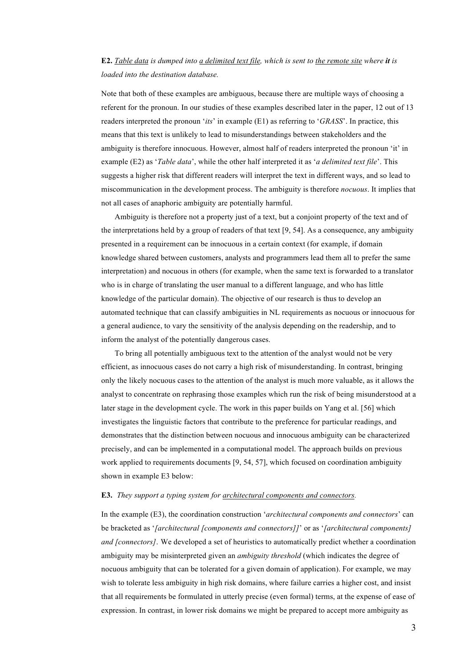### **E2.** *Table data is dumped into a delimited text file, which is sent to the remote site where it is loaded into the destination database.*

Note that both of these examples are ambiguous, because there are multiple ways of choosing a referent for the pronoun. In our studies of these examples described later in the paper, 12 out of 13 readers interpreted the pronoun '*its*' in example (E1) as referring to '*GRASS*'. In practice, this means that this text is unlikely to lead to misunderstandings between stakeholders and the ambiguity is therefore innocuous. However, almost half of readers interpreted the pronoun 'it' in example (E2) as '*Table data*', while the other half interpreted it as '*a delimited text file*'. This suggests a higher risk that different readers will interpret the text in different ways, and so lead to miscommunication in the development process. The ambiguity is therefore *nocuous*. It implies that not all cases of anaphoric ambiguity are potentially harmful.

Ambiguity is therefore not a property just of a text, but a conjoint property of the text and of the interpretations held by a group of readers of that text [9, 54]. As a consequence, any ambiguity presented in a requirement can be innocuous in a certain context (for example, if domain knowledge shared between customers, analysts and programmers lead them all to prefer the same interpretation) and nocuous in others (for example, when the same text is forwarded to a translator who is in charge of translating the user manual to a different language, and who has little knowledge of the particular domain). The objective of our research is thus to develop an automated technique that can classify ambiguities in NL requirements as nocuous or innocuous for a general audience, to vary the sensitivity of the analysis depending on the readership, and to inform the analyst of the potentially dangerous cases.

To bring all potentially ambiguous text to the attention of the analyst would not be very efficient, as innocuous cases do not carry a high risk of misunderstanding. In contrast, bringing only the likely nocuous cases to the attention of the analyst is much more valuable, as it allows the analyst to concentrate on rephrasing those examples which run the risk of being misunderstood at a later stage in the development cycle. The work in this paper builds on Yang et al. [56] which investigates the linguistic factors that contribute to the preference for particular readings, and demonstrates that the distinction between nocuous and innocuous ambiguity can be characterized precisely, and can be implemented in a computational model. The approach builds on previous work applied to requirements documents [9, 54, 57], which focused on coordination ambiguity shown in example E3 below:

#### **E3.** *They support a typing system for architectural components and connectors.*

In the example (E3), the coordination construction '*architectural components and connectors*' can be bracketed as '*[architectural [components and connectors]]*' or as '*[architectural components] and [connectors]*. We developed a set of heuristics to automatically predict whether a coordination ambiguity may be misinterpreted given an *ambiguity threshold* (which indicates the degree of nocuous ambiguity that can be tolerated for a given domain of application). For example, we may wish to tolerate less ambiguity in high risk domains, where failure carries a higher cost, and insist that all requirements be formulated in utterly precise (even formal) terms, at the expense of ease of expression. In contrast, in lower risk domains we might be prepared to accept more ambiguity as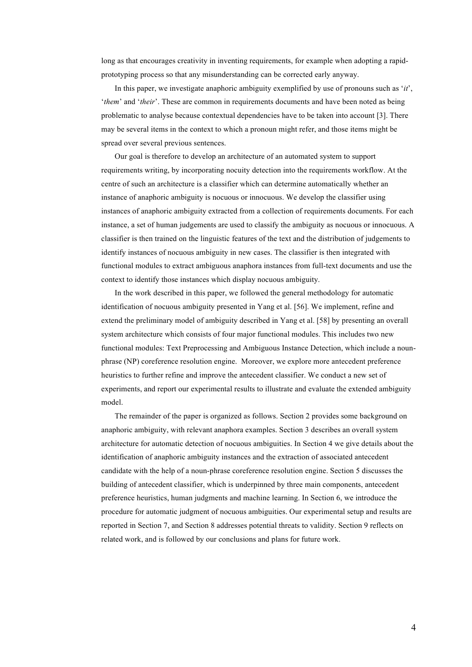long as that encourages creativity in inventing requirements, for example when adopting a rapidprototyping process so that any misunderstanding can be corrected early anyway.

In this paper, we investigate anaphoric ambiguity exemplified by use of pronouns such as '*it*', '*them*' and '*their*'. These are common in requirements documents and have been noted as being problematic to analyse because contextual dependencies have to be taken into account [3]. There may be several items in the context to which a pronoun might refer, and those items might be spread over several previous sentences.

Our goal is therefore to develop an architecture of an automated system to support requirements writing, by incorporating nocuity detection into the requirements workflow. At the centre of such an architecture is a classifier which can determine automatically whether an instance of anaphoric ambiguity is nocuous or innocuous. We develop the classifier using instances of anaphoric ambiguity extracted from a collection of requirements documents. For each instance, a set of human judgements are used to classify the ambiguity as nocuous or innocuous. A classifier is then trained on the linguistic features of the text and the distribution of judgements to identify instances of nocuous ambiguity in new cases. The classifier is then integrated with functional modules to extract ambiguous anaphora instances from full-text documents and use the context to identify those instances which display nocuous ambiguity.

In the work described in this paper, we followed the general methodology for automatic identification of nocuous ambiguity presented in Yang et al. [56]. We implement, refine and extend the preliminary model of ambiguity described in Yang et al. [58] by presenting an overall system architecture which consists of four major functional modules. This includes two new functional modules: Text Preprocessing and Ambiguous Instance Detection, which include a nounphrase (NP) coreference resolution engine. Moreover, we explore more antecedent preference heuristics to further refine and improve the antecedent classifier. We conduct a new set of experiments, and report our experimental results to illustrate and evaluate the extended ambiguity model.

The remainder of the paper is organized as follows. Section 2 provides some background on anaphoric ambiguity, with relevant anaphora examples. Section 3 describes an overall system architecture for automatic detection of nocuous ambiguities. In Section 4 we give details about the identification of anaphoric ambiguity instances and the extraction of associated antecedent candidate with the help of a noun-phrase coreference resolution engine. Section 5 discusses the building of antecedent classifier, which is underpinned by three main components, antecedent preference heuristics, human judgments and machine learning. In Section 6, we introduce the procedure for automatic judgment of nocuous ambiguities. Our experimental setup and results are reported in Section 7, and Section 8 addresses potential threats to validity. Section 9 reflects on related work, and is followed by our conclusions and plans for future work.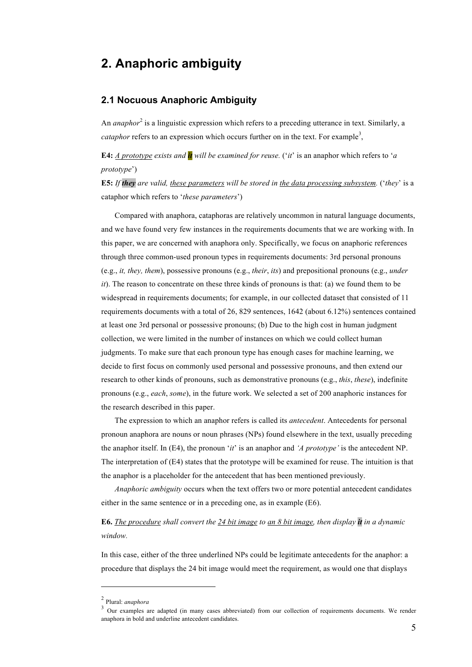# **2. Anaphoric ambiguity**

### **2.1 Nocuous Anaphoric Ambiguity**

An *anaphor*<sup>2</sup> is a linguistic expression which refers to a preceding utterance in text. Similarly, a *cataphor* refers to an expression which occurs further on in the text. For example<sup>3</sup>,

**E4:** *A prototype exists and it will be examined for reuse.* ('*it*' is an anaphor which refers to '*a prototype*')

**E5:** *If they are valid, these parameters will be stored in the data processing subsystem.* ('*they*' is a cataphor which refers to '*these parameters*')

Compared with anaphora, cataphoras are relatively uncommon in natural language documents, and we have found very few instances in the requirements documents that we are working with. In this paper, we are concerned with anaphora only. Specifically, we focus on anaphoric references through three common-used pronoun types in requirements documents: 3rd personal pronouns (e.g., *it, they, them*), possessive pronouns (e.g., *their*, *its*) and prepositional pronouns (e.g., *under it*). The reason to concentrate on these three kinds of pronouns is that: (a) we found them to be widespread in requirements documents; for example, in our collected dataset that consisted of 11 requirements documents with a total of 26, 829 sentences, 1642 (about 6.12%) sentences contained at least one 3rd personal or possessive pronouns; (b) Due to the high cost in human judgment collection, we were limited in the number of instances on which we could collect human judgments. To make sure that each pronoun type has enough cases for machine learning, we decide to first focus on commonly used personal and possessive pronouns, and then extend our research to other kinds of pronouns, such as demonstrative pronouns (e.g., *this*, *these*), indefinite pronouns (e.g., *each*, *some*), in the future work. We selected a set of 200 anaphoric instances for the research described in this paper.

The expression to which an anaphor refers is called its *antecedent*. Antecedents for personal pronoun anaphora are nouns or noun phrases (NPs) found elsewhere in the text, usually preceding the anaphor itself. In (E4), the pronoun '*it*' is an anaphor and *'A prototype'* is the antecedent NP. The interpretation of (E4) states that the prototype will be examined for reuse. The intuition is that the anaphor is a placeholder for the antecedent that has been mentioned previously.

*Anaphoric ambiguity* occurs when the text offers two or more potential antecedent candidates either in the same sentence or in a preceding one, as in example (E6).

**E6.** *The procedure shall convert the 24 bit image to an 8 bit image, then display it in a dynamic window.*

In this case, either of the three underlined NPs could be legitimate antecedents for the anaphor: a procedure that displays the 24 bit image would meet the requirement, as would one that displays

<sup>2</sup> Plural: *anaphora*

<sup>&</sup>lt;sup>3</sup> Our examples are adapted (in many cases abbreviated) from our collection of requirements documents. We render anaphora in bold and underline antecedent candidates.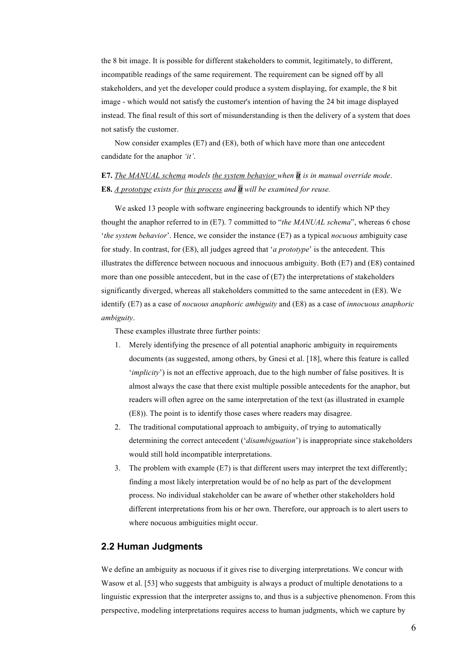the 8 bit image. It is possible for different stakeholders to commit, legitimately, to different, incompatible readings of the same requirement. The requirement can be signed off by all stakeholders, and yet the developer could produce a system displaying, for example, the 8 bit image - which would not satisfy the customer's intention of having the 24 bit image displayed instead. The final result of this sort of misunderstanding is then the delivery of a system that does not satisfy the customer.

Now consider examples (E7) and (E8), both of which have more than one antecedent candidate for the anaphor *'it'*.

### **E7.** *The MANUAL schema models the system behavior when it is in manual override mode*. **E8.** *A prototype exists for this process and it will be examined for reuse.*

We asked 13 people with software engineering backgrounds to identify which NP they thought the anaphor referred to in (E7). 7 committed to "*the MANUAL schema*", whereas 6 chose '*the system behavior*'. Hence, we consider the instance (E7) as a typical *nocuous* ambiguity case for study. In contrast, for (E8), all judges agreed that '*a prototype*' is the antecedent. This illustrates the difference between nocuous and innocuous ambiguity. Both (E7) and (E8) contained more than one possible antecedent, but in the case of (E7) the interpretations of stakeholders significantly diverged, whereas all stakeholders committed to the same antecedent in (E8). We identify (E7) as a case of *nocuous anaphoric ambiguity* and (E8) as a case of *innocuous anaphoric ambiguity*.

These examples illustrate three further points:

- 1. Merely identifying the presence of all potential anaphoric ambiguity in requirements documents (as suggested, among others, by Gnesi et al. [18], where this feature is called '*implicity*') is not an effective approach, due to the high number of false positives. It is almost always the case that there exist multiple possible antecedents for the anaphor, but readers will often agree on the same interpretation of the text (as illustrated in example (E8)). The point is to identify those cases where readers may disagree.
- 2. The traditional computational approach to ambiguity, of trying to automatically determining the correct antecedent ('*disambiguation*') is inappropriate since stakeholders would still hold incompatible interpretations.
- 3. The problem with example (E7) is that different users may interpret the text differently; finding a most likely interpretation would be of no help as part of the development process. No individual stakeholder can be aware of whether other stakeholders hold different interpretations from his or her own. Therefore, our approach is to alert users to where nocuous ambiguities might occur.

#### **2.2 Human Judgments**

We define an ambiguity as nocuous if it gives rise to diverging interpretations. We concur with Wasow et al. [53] who suggests that ambiguity is always a product of multiple denotations to a linguistic expression that the interpreter assigns to, and thus is a subjective phenomenon. From this perspective, modeling interpretations requires access to human judgments, which we capture by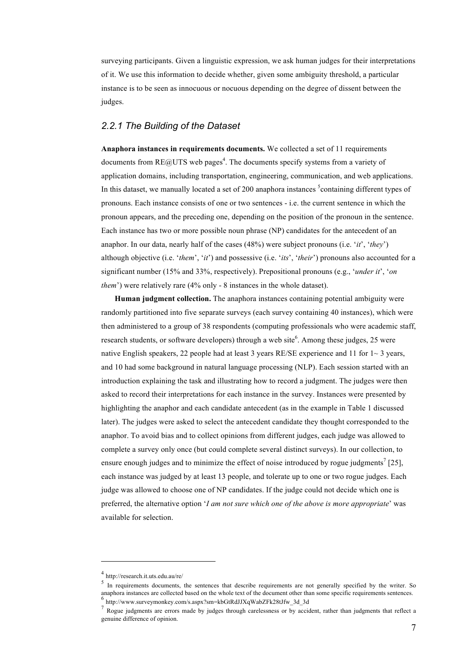surveying participants. Given a linguistic expression, we ask human judges for their interpretations of it. We use this information to decide whether, given some ambiguity threshold, a particular instance is to be seen as innocuous or nocuous depending on the degree of dissent between the judges.

### *2.2.1 The Building of the Dataset*

**Anaphora instances in requirements documents.** We collected a set of 11 requirements documents from  $RE@UTS$  web pages<sup>4</sup>. The documents specify systems from a variety of application domains, including transportation, engineering, communication, and web applications. In this dataset, we manually located a set of 200 anaphora instances <sup>5</sup> containing different types of pronouns. Each instance consists of one or two sentences - i.e. the current sentence in which the pronoun appears, and the preceding one, depending on the position of the pronoun in the sentence. Each instance has two or more possible noun phrase (NP) candidates for the antecedent of an anaphor. In our data, nearly half of the cases (48%) were subject pronouns (i.e. '*it*', '*they*') although objective (i.e. '*them*', '*it*') and possessive (i.e. '*its*', '*their*') pronouns also accounted for a significant number (15% and 33%, respectively). Prepositional pronouns (e.g., '*under it*', '*on them*') were relatively rare (4% only - 8 instances in the whole dataset).

**Human judgment collection.** The anaphora instances containing potential ambiguity were randomly partitioned into five separate surveys (each survey containing 40 instances), which were then administered to a group of 38 respondents (computing professionals who were academic staff, research students, or software developers) through a web site<sup>6</sup>. Among these judges, 25 were native English speakers, 22 people had at least 3 years RE/SE experience and 11 for  $1~\text{--}$  3 years, and 10 had some background in natural language processing (NLP). Each session started with an introduction explaining the task and illustrating how to record a judgment. The judges were then asked to record their interpretations for each instance in the survey. Instances were presented by highlighting the anaphor and each candidate antecedent (as in the example in Table 1 discussed later). The judges were asked to select the antecedent candidate they thought corresponded to the anaphor. To avoid bias and to collect opinions from different judges, each judge was allowed to complete a survey only once (but could complete several distinct surveys). In our collection, to ensure enough judges and to minimize the effect of noise introduced by rogue judgments<sup>7</sup> [25], each instance was judged by at least 13 people, and tolerate up to one or two rogue judges. Each judge was allowed to choose one of NP candidates. If the judge could not decide which one is preferred, the alternative option '*I am not sure which one of the above is more appropriate*' was available for selection.

<sup>4</sup> http://research.it.uts.edu.au/re/

<sup>&</sup>lt;sup>5</sup> In requirements documents, the sentences that describe requirements are not generally specified by the writer. So anaphora instances are collected based on the whole text of the document other than some specific requirements sentences.

<sup>6</sup> http://www.surveymonkey.com/s.aspx?sm=kbGtRdJJXqWabZFk28tJfw\_3d\_3d

<sup>7</sup> Rogue judgments are errors made by judges through carelessness or by accident, rather than judgments that reflect a genuine difference of opinion.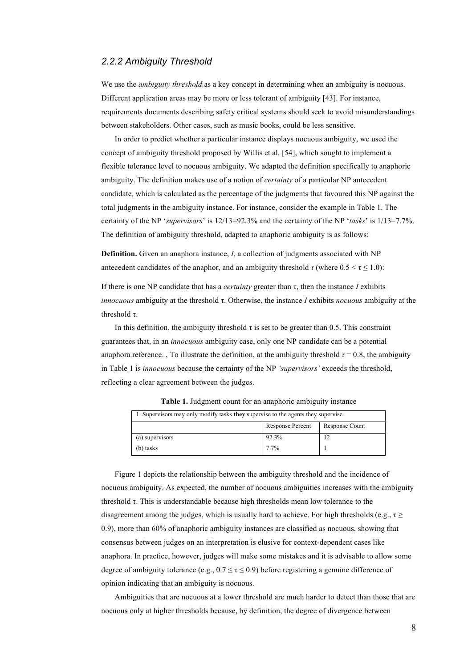#### *2.2.2 Ambiguity Threshold*

We use the *ambiguity threshold* as a key concept in determining when an ambiguity is nocuous. Different application areas may be more or less tolerant of ambiguity [43]. For instance, requirements documents describing safety critical systems should seek to avoid misunderstandings between stakeholders. Other cases, such as music books, could be less sensitive.

In order to predict whether a particular instance displays nocuous ambiguity, we used the concept of ambiguity threshold proposed by Willis et al. [54], which sought to implement a flexible tolerance level to nocuous ambiguity. We adapted the definition specifically to anaphoric ambiguity. The definition makes use of a notion of *certainty* of a particular NP antecedent candidate, which is calculated as the percentage of the judgments that favoured this NP against the total judgments in the ambiguity instance. For instance, consider the example in Table 1. The certainty of the NP '*supervisors*' is 12/13=92.3% and the certainty of the NP '*tasks*' is 1/13=7.7%. The definition of ambiguity threshold, adapted to anaphoric ambiguity is as follows:

**Definition.** Given an anaphora instance, *I*, a collection of judgments associated with NP antecedent candidates of the anaphor, and an ambiguity threshold  $\tau$  (where  $0.5 \le \tau \le 1.0$ ):

If there is one NP candidate that has a *certainty* greater than τ, then the instance *I* exhibits *innocuous* ambiguity at the threshold τ. Otherwise, the instance *I* exhibits *nocuous* ambiguity at the threshold τ.

In this definition, the ambiguity threshold  $\tau$  is set to be greater than 0.5. This constraint guarantees that, in an *innocuous* ambiguity case, only one NP candidate can be a potential anaphora reference. , To illustrate the definition, at the ambiguity threshold  $\tau = 0.8$ , the ambiguity in Table 1 is *innocuous* because the certainty of the NP *'supervisors'* exceeds the threshold, reflecting a clear agreement between the judges.

| 1. Supervisors may only modify tasks they supervise to the agents they supervise. |         |  |  |  |  |  |  |
|-----------------------------------------------------------------------------------|---------|--|--|--|--|--|--|
| Response Percent<br>Response Count                                                |         |  |  |  |  |  |  |
| (a) supervisors                                                                   | 92.3%   |  |  |  |  |  |  |
| (b) tasks                                                                         | $7.7\%$ |  |  |  |  |  |  |

**Table 1.** Judgment count for an anaphoric ambiguity instance

Figure 1 depicts the relationship between the ambiguity threshold and the incidence of nocuous ambiguity. As expected, the number of nocuous ambiguities increases with the ambiguity threshold τ. This is understandable because high thresholds mean low tolerance to the disagreement among the judges, which is usually hard to achieve. For high thresholds (e.g.,  $\tau$   $\geq$ 0.9), more than 60% of anaphoric ambiguity instances are classified as nocuous, showing that consensus between judges on an interpretation is elusive for context-dependent cases like anaphora. In practice, however, judges will make some mistakes and it is advisable to allow some degree of ambiguity tolerance (e.g.,  $0.7 \le \tau \le 0.9$ ) before registering a genuine difference of opinion indicating that an ambiguity is nocuous.

Ambiguities that are nocuous at a lower threshold are much harder to detect than those that are nocuous only at higher thresholds because, by definition, the degree of divergence between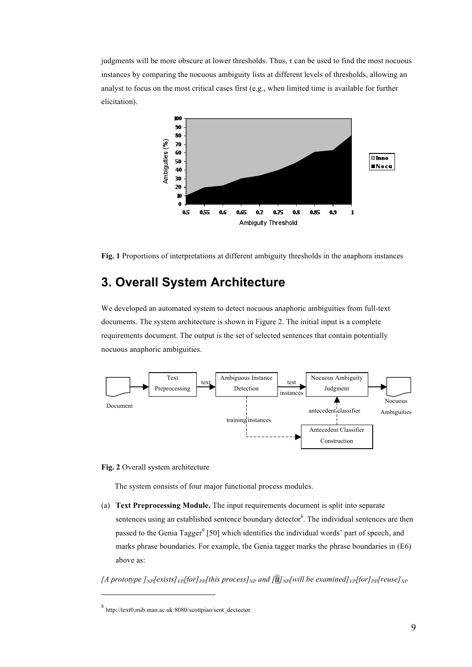judgments will be more obscure at lower thresholds. Thus,  $\tau$  can be used to find the most nocuous instances by comparing the nocuous ambiguity lists at different levels of thresholds, allowing an analyst to focus on the most critical cases first (e.g., when limited time is available for further elicitation).



**Fig. 1** Proportions of interpretations at different ambiguity thresholds in the anaphora instances

# **3. Overall System Architecture**

We developed an automated system to detect nocuous anaphoric ambiguities from full-text documents. The system architecture is shown in Figure 2. The initial input is a complete requirements document. The output is the set of selected sentences that contain potentially nocuous anaphoric ambiguities.



#### **Fig. 2** Overall system architecture

The system consists of four major functional process modules.

(a) **Text Preprocessing Module.** The input requirements document is split into separate sentences using an established sentence boundary detector<sup>8</sup>. The individual sentences are then passed to the Genia Tagger<sup>9</sup> [50] which identifies the individual words' part of speech, and marks phrase boundaries. For example, the Genia tagger marks the phrase boundaries in (E6) above as:

*[A prototype ]* $_{NP}$ *[exists]* $_{VP}$ *[for]* $_{PP}$ *[this process]* $_{NP}$  *and [it]* $_{NP}$ *[will be examined]* $_{VP}$ *[for]* $_{PP}$ *[reuse]* $_{NP}$ 

<sup>8</sup> http://text0.mib.man.ac.uk:8080/scottpiao/sent\_dectector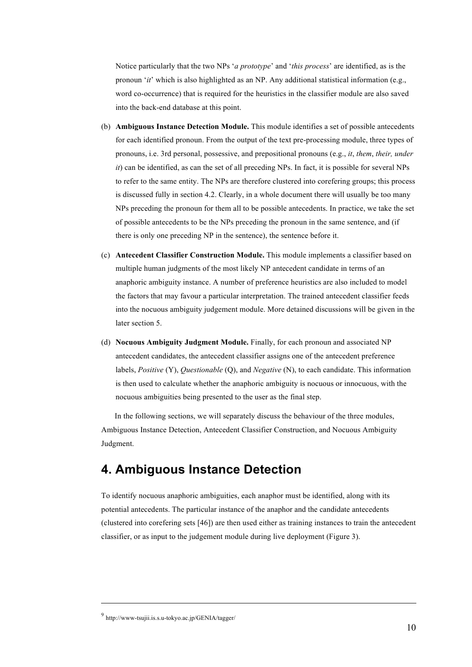Notice particularly that the two NPs '*a prototype*' and '*this process*' are identified, as is the pronoun '*it*' which is also highlighted as an NP. Any additional statistical information (e.g., word co-occurrence) that is required for the heuristics in the classifier module are also saved into the back-end database at this point.

- (b) **Ambiguous Instance Detection Module.** This module identifies a set of possible antecedents for each identified pronoun. From the output of the text pre-processing module, three types of pronouns, i.e. 3rd personal, possessive, and prepositional pronouns (e.g., *it*, *them*, *their, under it*) can be identified, as can the set of all preceding NPs. In fact, it is possible for several NPs to refer to the same entity. The NPs are therefore clustered into corefering groups; this process is discussed fully in section 4.2. Clearly, in a whole document there will usually be too many NPs preceding the pronoun for them all to be possible antecedents. In practice, we take the set of possible antecedents to be the NPs preceding the pronoun in the same sentence, and (if there is only one preceding NP in the sentence), the sentence before it.
- (c) **Antecedent Classifier Construction Module.** This module implements a classifier based on multiple human judgments of the most likely NP antecedent candidate in terms of an anaphoric ambiguity instance. A number of preference heuristics are also included to model the factors that may favour a particular interpretation. The trained antecedent classifier feeds into the nocuous ambiguity judgement module. More detained discussions will be given in the later section 5.
- (d) **Nocuous Ambiguity Judgment Module.** Finally, for each pronoun and associated NP antecedent candidates, the antecedent classifier assigns one of the antecedent preference labels, *Positive* (Y), *Questionable* (Q), and *Negative* (N), to each candidate. This information is then used to calculate whether the anaphoric ambiguity is nocuous or innocuous, with the nocuous ambiguities being presented to the user as the final step.

In the following sections, we will separately discuss the behaviour of the three modules, Ambiguous Instance Detection, Antecedent Classifier Construction, and Nocuous Ambiguity Judgment.

# **4. Ambiguous Instance Detection**

To identify nocuous anaphoric ambiguities, each anaphor must be identified, along with its potential antecedents. The particular instance of the anaphor and the candidate antecedents (clustered into corefering sets [46]) are then used either as training instances to train the antecedent classifier, or as input to the judgement module during live deployment (Figure 3).

<sup>9</sup> http://www-tsujii.is.s.u-tokyo.ac.jp/GENIA/tagger/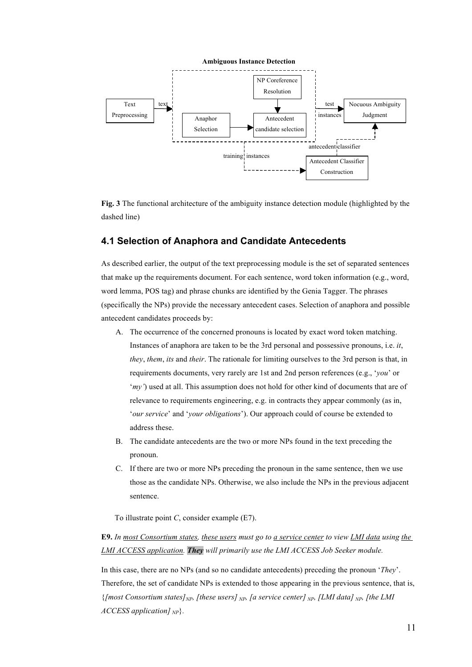#### **Ambiguous Instance Detection**



**Fig. 3** The functional architecture of the ambiguity instance detection module (highlighted by the dashed line)

#### **4.1 Selection of Anaphora and Candidate Antecedents**

As described earlier, the output of the text preprocessing module is the set of separated sentences that make up the requirements document. For each sentence, word token information (e.g., word, word lemma, POS tag) and phrase chunks are identified by the Genia Tagger. The phrases (specifically the NPs) provide the necessary antecedent cases. Selection of anaphora and possible antecedent candidates proceeds by:

- A. The occurrence of the concerned pronouns is located by exact word token matching. Instances of anaphora are taken to be the 3rd personal and possessive pronouns, i.e. *it*, *they*, *them*, *its* and *their*. The rationale for limiting ourselves to the 3rd person is that, in requirements documents, very rarely are 1st and 2nd person references (e.g., '*you*' or '*my'*) used at all. This assumption does not hold for other kind of documents that are of relevance to requirements engineering, e.g. in contracts they appear commonly (as in, '*our service*' and '*your obligations*'). Our approach could of course be extended to address these.
- B. The candidate antecedents are the two or more NPs found in the text preceding the pronoun.
- C. If there are two or more NPs preceding the pronoun in the same sentence, then we use those as the candidate NPs. Otherwise, we also include the NPs in the previous adjacent sentence.

To illustrate point *C*, consider example (E7).

### **E9.** *In most Consortium states, these users must go to a service center to view LMI data using the LMI ACCESS application. They will primarily use the LMI ACCESS Job Seeker module.*

In this case, there are no NPs (and so no candidate antecedents) preceding the pronoun '*They*'. Therefore, the set of candidate NPs is extended to those appearing in the previous sentence, that is, {*[most Consortium states]NP, [these users] NP, [a service center] NP, [LMI data] NP, [the LMI ACCESS application] NP*}*.*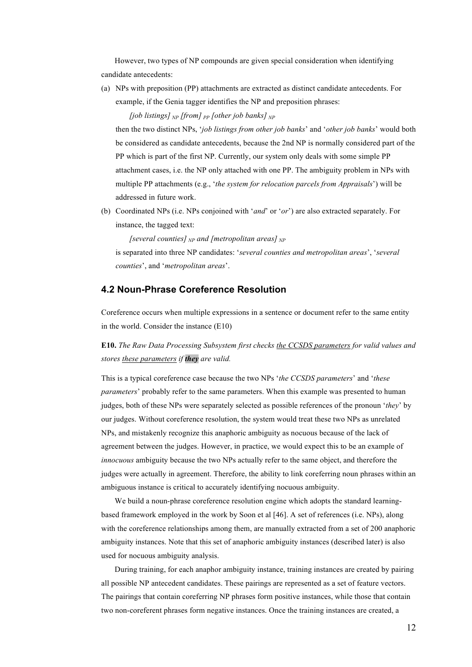However, two types of NP compounds are given special consideration when identifying candidate antecedents:

(a) NPs with preposition (PP) attachments are extracted as distinct candidate antecedents. For example, if the Genia tagger identifies the NP and preposition phrases:

*[job listings] NP [from] PP [other job banks] NP*

then the two distinct NPs, '*job listings from other job banks*' and '*other job banks*' would both be considered as candidate antecedents, because the 2nd NP is normally considered part of the PP which is part of the first NP. Currently, our system only deals with some simple PP attachment cases, i.e. the NP only attached with one PP. The ambiguity problem in NPs with multiple PP attachments (e.g., '*the system for relocation parcels from Appraisals*') will be addressed in future work.

(b) Coordinated NPs (i.e. NPs conjoined with '*and*' or '*or*') are also extracted separately. For instance, the tagged text:

*[several counties] NP and [metropolitan areas] NP*

is separated into three NP candidates: '*several counties and metropolitan areas*', '*several counties*', and '*metropolitan areas*'.

#### **4.2 Noun-Phrase Coreference Resolution**

Coreference occurs when multiple expressions in a sentence or document refer to the same entity in the world. Consider the instance (E10)

### **E10.** *The Raw Data Processing Subsystem first checks the CCSDS parameters for valid values and stores these parameters if they are valid.*

This is a typical coreference case because the two NPs '*the CCSDS parameters*' and '*these parameters*' probably refer to the same parameters. When this example was presented to human judges, both of these NPs were separately selected as possible references of the pronoun '*they*' by our judges. Without coreference resolution, the system would treat these two NPs as unrelated NPs, and mistakenly recognize this anaphoric ambiguity as nocuous because of the lack of agreement between the judges. However, in practice, we would expect this to be an example of *innocuous* ambiguity because the two NPs actually refer to the same object, and therefore the judges were actually in agreement. Therefore, the ability to link coreferring noun phrases within an ambiguous instance is critical to accurately identifying nocuous ambiguity.

We build a noun-phrase coreference resolution engine which adopts the standard learningbased framework employed in the work by Soon et al [46]. A set of references (i.e. NPs), along with the coreference relationships among them, are manually extracted from a set of 200 anaphoric ambiguity instances. Note that this set of anaphoric ambiguity instances (described later) is also used for nocuous ambiguity analysis.

During training, for each anaphor ambiguity instance, training instances are created by pairing all possible NP antecedent candidates. These pairings are represented as a set of feature vectors. The pairings that contain coreferring NP phrases form positive instances, while those that contain two non-coreferent phrases form negative instances. Once the training instances are created, a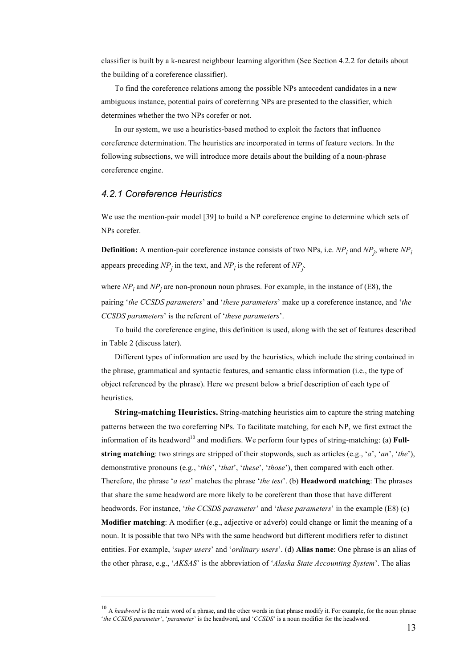classifier is built by a k-nearest neighbour learning algorithm (See Section 4.2.2 for details about the building of a coreference classifier).

To find the coreference relations among the possible NPs antecedent candidates in a new ambiguous instance, potential pairs of coreferring NPs are presented to the classifier, which determines whether the two NPs corefer or not.

In our system, we use a heuristics-based method to exploit the factors that influence coreference determination. The heuristics are incorporated in terms of feature vectors. In the following subsections, we will introduce more details about the building of a noun-phrase coreference engine.

#### *4.2.1 Coreference Heuristics*

 $\overline{a}$ 

We use the mention-pair model [39] to build a NP coreference engine to determine which sets of NPs corefer.

**Definition:** A mention-pair coreference instance consists of two NPs, i.e.  $NP_i$  and  $NP_j$ , where  $NP_i$ appears preceding  $NP_j$  in the text, and  $NP_i$  is the referent of  $NP_j$ .

where  $NP_i$  and  $NP_j$  are non-pronoun noun phrases. For example, in the instance of (E8), the pairing '*the CCSDS parameters*' and '*these parameters*' make up a coreference instance, and '*the CCSDS parameters*' is the referent of '*these parameters*'.

To build the coreference engine, this definition is used, along with the set of features described in Table 2 (discuss later).

Different types of information are used by the heuristics, which include the string contained in the phrase, grammatical and syntactic features, and semantic class information (i.e., the type of object referenced by the phrase). Here we present below a brief description of each type of heuristics.

**String-matching Heuristics.** String-matching heuristics aim to capture the string matching patterns between the two coreferring NPs. To facilitate matching, for each NP, we first extract the information of its headword<sup>10</sup> and modifiers. We perform four types of string-matching: (a) **Fullstring matching**: two strings are stripped of their stopwords, such as articles (e.g., '*a*', '*an*', '*the*'), demonstrative pronouns (e.g., '*this*', '*that*', '*these*', '*those*'), then compared with each other. Therefore, the phrase '*a test*' matches the phrase '*the test*'. (b) **Headword matching**: The phrases that share the same headword are more likely to be coreferent than those that have different headwords. For instance, '*the CCSDS parameter*' and '*these parameters*' in the example (E8) (c) **Modifier matching**: A modifier (e.g., adjective or adverb) could change or limit the meaning of a noun. It is possible that two NPs with the same headword but different modifiers refer to distinct entities. For example, '*super users*' and '*ordinary users*'. (d) **Alias name**: One phrase is an alias of the other phrase, e.g., '*AKSAS*' is the abbreviation of '*Alaska State Accounting System*'. The alias

<sup>&</sup>lt;sup>10</sup> A *headword* is the main word of a phrase, and the other words in that phrase modify it. For example, for the noun phrase '*the CCSDS parameter*', '*parameter*' is the headword, and '*CCSDS*' is a noun modifier for the headword.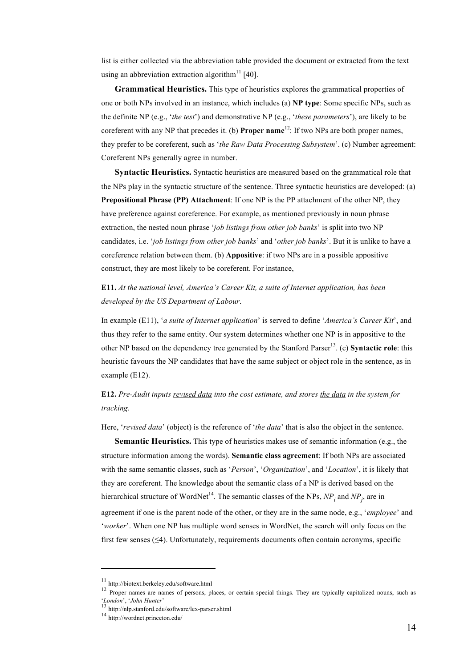list is either collected via the abbreviation table provided the document or extracted from the text using an abbreviation extraction algorithm<sup>11</sup> [40].

**Grammatical Heuristics.** This type of heuristics explores the grammatical properties of one or both NPs involved in an instance, which includes (a) **NP type**: Some specific NPs, such as the definite NP (e.g., '*the test*') and demonstrative NP (e.g., '*these parameters*'), are likely to be coreferent with any NP that precedes it. (b) **Proper name**<sup>12</sup>: If two NPs are both proper names, they prefer to be coreferent, such as '*the Raw Data Processing Subsystem*'. (c) Number agreement: Coreferent NPs generally agree in number.

**Syntactic Heuristics.** Syntactic heuristics are measured based on the grammatical role that the NPs play in the syntactic structure of the sentence. Three syntactic heuristics are developed: (a) **Prepositional Phrase (PP) Attachment**: If one NP is the PP attachment of the other NP, they have preference against coreference. For example, as mentioned previously in noun phrase extraction, the nested noun phrase '*job listings from other job banks*' is split into two NP candidates, i.e. '*job listings from other job banks*' and '*other job banks*'. But it is unlike to have a coreference relation between them. (b) **Appositive**: if two NPs are in a possible appositive construct, they are most likely to be coreferent. For instance,

### **E11.** *At the national level, America's Career Kit, a suite of Internet application, has been developed by the US Department of Labour*.

In example (E11), '*a suite of Internet application*' is served to define '*America's Career Kit*', and thus they refer to the same entity. Our system determines whether one NP is in appositive to the other NP based on the dependency tree generated by the Stanford Parser<sup>13</sup>. (c) **Syntactic role**: this heuristic favours the NP candidates that have the same subject or object role in the sentence, as in example (E12).

### **E12.** *Pre-Audit inputs revised data into the cost estimate, and stores the data in the system for tracking.*

Here, '*revised data*' (object) is the reference of '*the data*' that is also the object in the sentence.

**Semantic Heuristics.** This type of heuristics makes use of semantic information (e.g., the structure information among the words). **Semantic class agreement**: If both NPs are associated with the same semantic classes, such as '*Person*', '*Organization*', and '*Location*', it is likely that they are coreferent. The knowledge about the semantic class of a NP is derived based on the hierarchical structure of WordNet<sup>14</sup>. The semantic classes of the NPs,  $NP_i$  and  $NP_j$ , are in agreement if one is the parent node of the other, or they are in the same node, e.g., '*employee*' and '*worker*'. When one NP has multiple word senses in WordNet, the search will only focus on the first few senses (≤4). Unfortunately, requirements documents often contain acronyms, specific

<sup>11</sup> http://biotext.berkeley.edu/software.html

<sup>12</sup> Proper names are names of persons, places, or certain special things. They are typically capitalized nouns, such as '*London*', '*John Hunter*' <sup>13</sup> http://nlp.stanford.edu/software/lex-parser.shtml

<sup>14</sup> http://wordnet.princeton.edu/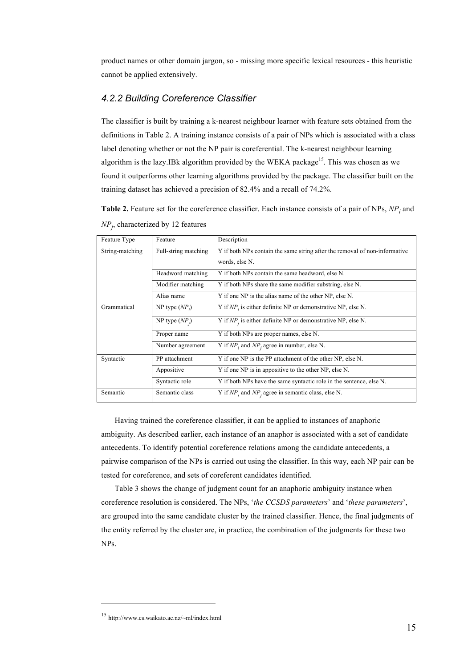product names or other domain jargon, so - missing more specific lexical resources - this heuristic cannot be applied extensively.

### *4.2.2 Building Coreference Classifier*

The classifier is built by training a k-nearest neighbour learner with feature sets obtained from the definitions in Table 2. A training instance consists of a pair of NPs which is associated with a class label denoting whether or not the NP pair is coreferential. The k-nearest neighbour learning algorithm is the lazy. IBk algorithm provided by the WEKA package<sup>15</sup>. This was chosen as we found it outperforms other learning algorithms provided by the package. The classifier built on the training dataset has achieved a precision of 82.4% and a recall of 74.2%.

**Table 2.** Feature set for the coreference classifier. Each instance consists of a pair of NPs,  $NP_i$  and *NP<sup>j</sup>* , characterized by 12 features

| Feature Type    | Feature              | Description                                                                |  |  |
|-----------------|----------------------|----------------------------------------------------------------------------|--|--|
| String-matching | Full-string matching | Y if both NPs contain the same string after the removal of non-informative |  |  |
|                 |                      | words, else N.                                                             |  |  |
|                 | Headword matching    | Y if both NPs contain the same headword, else N.                           |  |  |
|                 | Modifier matching    | Y if both NPs share the same modifier substring, else N.                   |  |  |
|                 | Alias name           | Y if one NP is the alias name of the other NP, else N.                     |  |  |
| Grammatical     | NP type $(NP_i)$     | Y if NP, is either definite NP or demonstrative NP, else N.                |  |  |
|                 | NP type $(NP_i)$     | Y if NP, is either definite NP or demonstrative NP, else N.                |  |  |
|                 | Proper name          | Y if both NPs are proper names, else N.                                    |  |  |
|                 | Number agreement     | Y if $NP_i$ and $NP_j$ agree in number, else N.                            |  |  |
| Syntactic       | PP attachment        | Y if one NP is the PP attachment of the other NP, else N.                  |  |  |
|                 | Appositive           | Y if one NP is in appositive to the other NP, else N.                      |  |  |
|                 | Syntactic role       | Y if both NPs have the same syntactic role in the sentence, else N.        |  |  |
| Semantic        | Semantic class       | Y if $NP$ , and $NP$ , agree in semantic class, else N.                    |  |  |

Having trained the coreference classifier, it can be applied to instances of anaphoric ambiguity. As described earlier, each instance of an anaphor is associated with a set of candidate antecedents. To identify potential coreference relations among the candidate antecedents, a pairwise comparison of the NPs is carried out using the classifier. In this way, each NP pair can be tested for coreference, and sets of coreferent candidates identified.

Table 3 shows the change of judgment count for an anaphoric ambiguity instance when coreference resolution is considered. The NPs, '*the CCSDS parameters*' and '*these parameters*', are grouped into the same candidate cluster by the trained classifier. Hence, the final judgments of the entity referred by the cluster are, in practice, the combination of the judgments for these two NPs.

<sup>15</sup> http://www.cs.waikato.ac.nz/~ml/index.html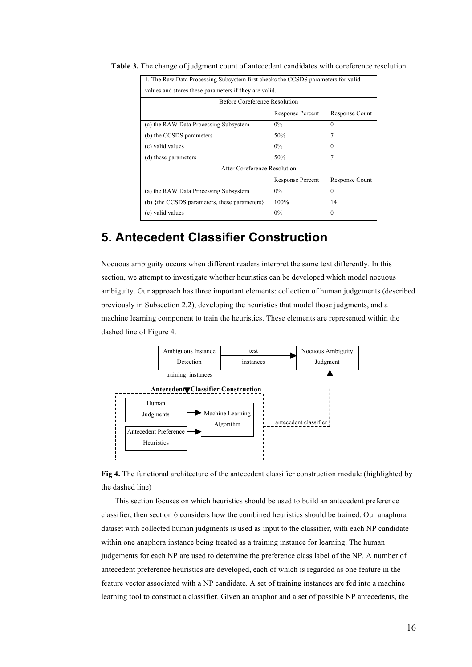| 1. The Raw Data Processing Subsystem first checks the CCSDS parameters for valid |                                    |          |  |  |  |  |  |  |
|----------------------------------------------------------------------------------|------------------------------------|----------|--|--|--|--|--|--|
| values and stores these parameters if they are valid.                            |                                    |          |  |  |  |  |  |  |
| Before Coreference Resolution                                                    |                                    |          |  |  |  |  |  |  |
| Response Percent<br>Response Count                                               |                                    |          |  |  |  |  |  |  |
| (a) the RAW Data Processing Subsystem                                            | $0\%$                              | $\theta$ |  |  |  |  |  |  |
| (b) the CCSDS parameters                                                         | 50%                                | 7        |  |  |  |  |  |  |
| (c) valid values<br>$0\%$<br>$\Omega$                                            |                                    |          |  |  |  |  |  |  |
| 7<br>50%<br>(d) these parameters                                                 |                                    |          |  |  |  |  |  |  |
| After Coreference Resolution                                                     |                                    |          |  |  |  |  |  |  |
|                                                                                  | Response Percent<br>Response Count |          |  |  |  |  |  |  |
| 0%<br>(a) the RAW Data Processing Subsystem<br>$\theta$                          |                                    |          |  |  |  |  |  |  |
| (b) {the CCSDS parameters, these parameters}                                     | $100\%$                            | 14       |  |  |  |  |  |  |
| $0\%$<br>(c) valid values<br>$\theta$                                            |                                    |          |  |  |  |  |  |  |

**Table 3.** The change of judgment count of antecedent candidates with coreference resolution

# **5. Antecedent Classifier Construction**

Nocuous ambiguity occurs when different readers interpret the same text differently. In this section, we attempt to investigate whether heuristics can be developed which model nocuous ambiguity. Our approach has three important elements: collection of human judgements (described previously in Subsection 2.2), developing the heuristics that model those judgments, and a machine learning component to train the heuristics. These elements are represented within the dashed line of Figure 4.



**Fig 4.** The functional architecture of the antecedent classifier construction module (highlighted by the dashed line)

This section focuses on which heuristics should be used to build an antecedent preference classifier, then section 6 considers how the combined heuristics should be trained. Our anaphora dataset with collected human judgments is used as input to the classifier, with each NP candidate within one anaphora instance being treated as a training instance for learning. The human judgements for each NP are used to determine the preference class label of the NP. A number of antecedent preference heuristics are developed, each of which is regarded as one feature in the feature vector associated with a NP candidate. A set of training instances are fed into a machine learning tool to construct a classifier. Given an anaphor and a set of possible NP antecedents, the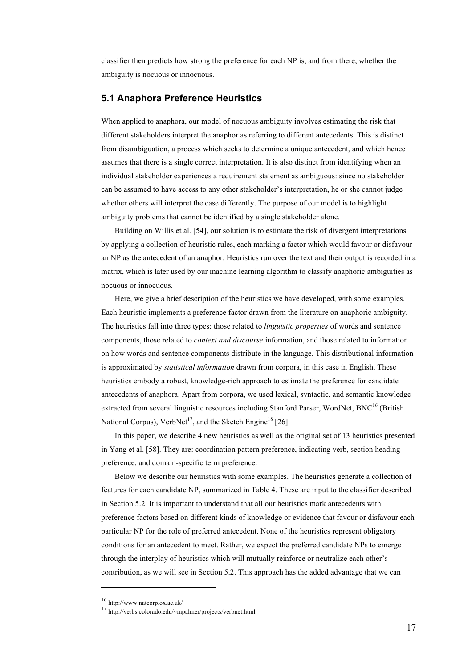classifier then predicts how strong the preference for each NP is, and from there, whether the ambiguity is nocuous or innocuous.

#### **5.1 Anaphora Preference Heuristics**

When applied to anaphora, our model of nocuous ambiguity involves estimating the risk that different stakeholders interpret the anaphor as referring to different antecedents. This is distinct from disambiguation, a process which seeks to determine a unique antecedent, and which hence assumes that there is a single correct interpretation. It is also distinct from identifying when an individual stakeholder experiences a requirement statement as ambiguous: since no stakeholder can be assumed to have access to any other stakeholder's interpretation, he or she cannot judge whether others will interpret the case differently. The purpose of our model is to highlight ambiguity problems that cannot be identified by a single stakeholder alone.

Building on Willis et al. [54], our solution is to estimate the risk of divergent interpretations by applying a collection of heuristic rules, each marking a factor which would favour or disfavour an NP as the antecedent of an anaphor. Heuristics run over the text and their output is recorded in a matrix, which is later used by our machine learning algorithm to classify anaphoric ambiguities as nocuous or innocuous.

Here, we give a brief description of the heuristics we have developed, with some examples. Each heuristic implements a preference factor drawn from the literature on anaphoric ambiguity. The heuristics fall into three types: those related to *linguistic properties* of words and sentence components, those related to *context and discourse* information, and those related to information on how words and sentence components distribute in the language. This distributional information is approximated by *statistical information* drawn from corpora, in this case in English. These heuristics embody a robust, knowledge-rich approach to estimate the preference for candidate antecedents of anaphora. Apart from corpora, we used lexical, syntactic, and semantic knowledge extracted from several linguistic resources including Stanford Parser, WordNet, BNC<sup>16</sup> (British National Corpus), VerbNet<sup>17</sup>, and the Sketch Engine<sup>18</sup> [26].

In this paper, we describe 4 new heuristics as well as the original set of 13 heuristics presented in Yang et al. [58]. They are: coordination pattern preference, indicating verb, section heading preference, and domain-specific term preference.

Below we describe our heuristics with some examples. The heuristics generate a collection of features for each candidate NP, summarized in Table 4. These are input to the classifier described in Section 5.2. It is important to understand that all our heuristics mark antecedents with preference factors based on different kinds of knowledge or evidence that favour or disfavour each particular NP for the role of preferred antecedent. None of the heuristics represent obligatory conditions for an antecedent to meet. Rather, we expect the preferred candidate NPs to emerge through the interplay of heuristics which will mutually reinforce or neutralize each other's contribution, as we will see in Section 5.2. This approach has the added advantage that we can

<sup>16</sup> http://www.natcorp.ox.ac.uk/

<sup>17</sup> http://verbs.colorado.edu/~mpalmer/projects/verbnet.html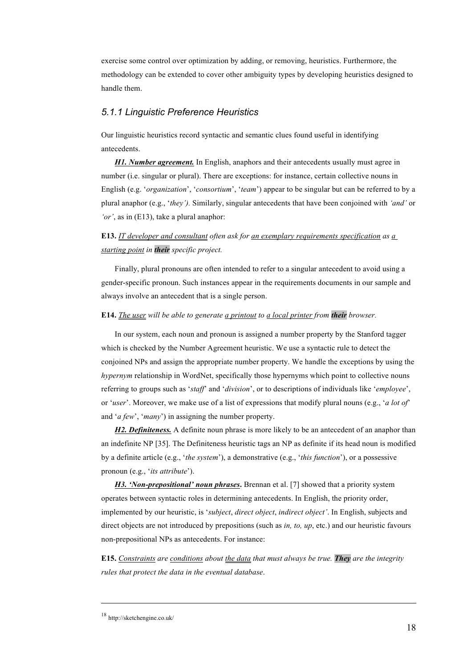exercise some control over optimization by adding, or removing, heuristics. Furthermore, the methodology can be extended to cover other ambiguity types by developing heuristics designed to handle them.

### *5.1.1 Linguistic Preference Heuristics*

Our linguistic heuristics record syntactic and semantic clues found useful in identifying antecedents.

*H1. Number agreement.* In English, anaphors and their antecedents usually must agree in number (i.e. singular or plural). There are exceptions: for instance, certain collective nouns in English (e.g. '*organization*', '*consortium*', '*team*') appear to be singular but can be referred to by a plural anaphor (e.g., '*they').* Similarly, singular antecedents that have been conjoined with *'and'* or *'or'*, as in (E13), take a plural anaphor:

### **E13.** *IT developer and consultant often ask for an exemplary requirements specification as a starting point in their specific project.*

Finally, plural pronouns are often intended to refer to a singular antecedent to avoid using a gender-specific pronoun. Such instances appear in the requirements documents in our sample and always involve an antecedent that is a single person.

#### **E14.** *The user will be able to generate a printout to a local printer from their browser.*

In our system, each noun and pronoun is assigned a number property by the Stanford tagger which is checked by the Number Agreement heuristic. We use a syntactic rule to detect the conjoined NPs and assign the appropriate number property. We handle the exceptions by using the *hypernym* relationship in WordNet, specifically those hypernyms which point to collective nouns referring to groups such as '*staff*' and '*division*', or to descriptions of individuals like '*employee*', or '*user*'. Moreover, we make use of a list of expressions that modify plural nouns (e.g., '*a lot of*' and '*a few*', '*many*') in assigning the number property.

*H2. Definiteness.* A definite noun phrase is more likely to be an antecedent of an anaphor than an indefinite NP [35]. The Definiteness heuristic tags an NP as definite if its head noun is modified by a definite article (e.g., '*the system*'), a demonstrative (e.g., '*this function*'), or a possessive pronoun (e.g., '*its attribute*').

*H3. 'Non-prepositional' noun phrases***.** Brennan et al. [7] showed that a priority system operates between syntactic roles in determining antecedents. In English, the priority order, implemented by our heuristic, is '*subject*, *direct object*, *indirect object'*. In English, subjects and direct objects are not introduced by prepositions (such as *in, to, up*, etc.) and our heuristic favours non-prepositional NPs as antecedents. For instance:

**E15.** *Constraints are conditions about the data that must always be true. They are the integrity rules that protect the data in the eventual database*.

<sup>18</sup> http://sketchengine.co.uk/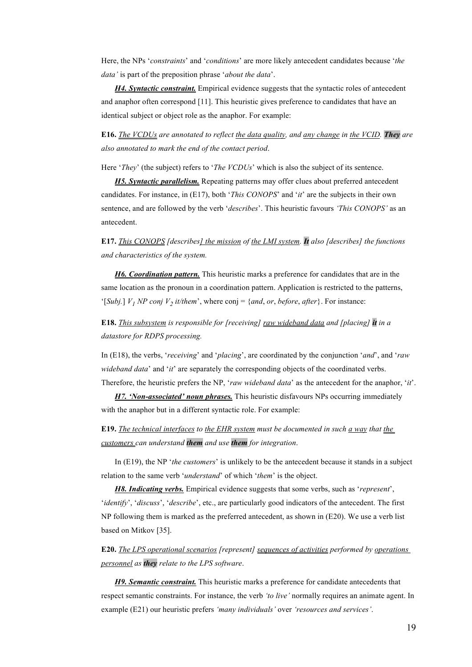Here, the NPs '*constraints*' and '*conditions*' are more likely antecedent candidates because '*the data'* is part of the preposition phrase '*about the data*'.

*H4. Syntactic constraint.* Empirical evidence suggests that the syntactic roles of antecedent and anaphor often correspond [11]. This heuristic gives preference to candidates that have an identical subject or object role as the anaphor. For example:

**E16.** *The VCDUs are annotated to reflect the data quality, and any change in the VCID. They are also annotated to mark the end of the contact period*.

Here '*They*' (the subject) refers to '*The VCDUs*' which is also the subject of its sentence.

*H5. Syntactic parallelism.* Repeating patterns may offer clues about preferred antecedent candidates. For instance, in (E17), both '*This CONOPS*' and '*it*' are the subjects in their own sentence, and are followed by the verb '*describes*'. This heuristic favours *'This CONOPS'* as an antecedent.

**E17.** *This CONOPS [describes] the mission of the LMI system. It also [describes] the functions and characteristics of the system.*

*H6. Coordination pattern.* This heuristic marks a preference for candidates that are in the same location as the pronoun in a coordination pattern. Application is restricted to the patterns, '[*Subj.*] *V*<sub>1</sub> *NP conj V*<sub>2</sub> *it/them*', where conj = {*and, or, before, after*}. For instance:

**E18.** *This subsystem is responsible for [receiving] raw wideband data and [placing] it in a datastore for RDPS processing.*

In (E18), the verbs, '*receiving*' and '*placing*', are coordinated by the conjunction '*and*', and '*raw wideband data*' and '*it*' are separately the corresponding objects of the coordinated verbs. Therefore, the heuristic prefers the NP, '*raw wideband data*' as the antecedent for the anaphor, '*it*'.

*H7. 'Non-associated' noun phrases.* This heuristic disfavours NPs occurring immediately with the anaphor but in a different syntactic role. For example:

**E19.** *The technical interfaces to the EHR system must be documented in such a way that the customers can understand them and use them for integration*.

In (E19), the NP '*the customers*' is unlikely to be the antecedent because it stands in a subject relation to the same verb '*understand*' of which '*them*' is the object.

*H8. Indicating verbs.* Empirical evidence suggests that some verbs, such as '*represent*', '*identify*', '*discuss*', '*describe*', etc., are particularly good indicators of the antecedent. The first NP following them is marked as the preferred antecedent, as shown in (E20). We use a verb list based on Mitkov [35].

**E20.** *The LPS operational scenarios [represent] sequences of activities performed by operations personnel as they relate to the LPS software*.

*H9. Semantic constraint.* This heuristic marks a preference for candidate antecedents that respect semantic constraints. For instance, the verb *'to live'* normally requires an animate agent. In example (E21) our heuristic prefers *'many individuals'* over *'resources and services'*.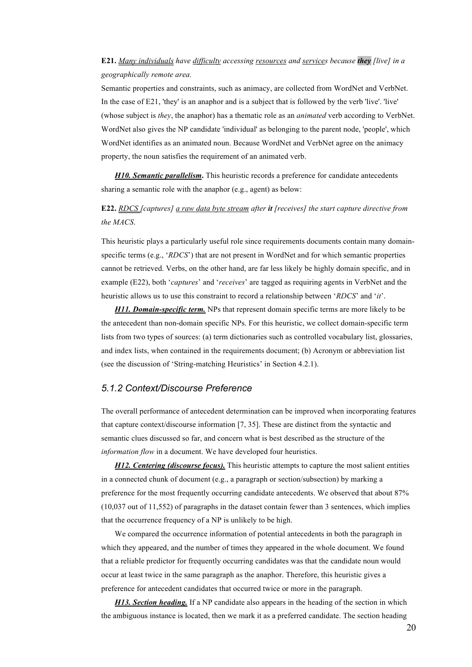### **E21.** *Many individuals have difficulty accessing resources and services because they [live] in a geographically remote area.*

Semantic properties and constraints, such as animacy, are collected from WordNet and VerbNet. In the case of E21, 'they' is an anaphor and is a subject that is followed by the verb 'live'. 'live' (whose subject is *they*, the anaphor) has a thematic role as an *animated* verb according to VerbNet. WordNet also gives the NP candidate 'individual' as belonging to the parent node, 'people', which WordNet identifies as an animated noun. Because WordNet and VerbNet agree on the animacy property, the noun satisfies the requirement of an animated verb.

*H10. Semantic parallelism***.** This heuristic records a preference for candidate antecedents sharing a semantic role with the anaphor (e.g., agent) as below:

### **E22.** *RDCS [captures] a raw data byte stream after it [receives] the start capture directive from the MACS*.

This heuristic plays a particularly useful role since requirements documents contain many domainspecific terms (e.g., '*RDCS*') that are not present in WordNet and for which semantic properties cannot be retrieved. Verbs, on the other hand, are far less likely be highly domain specific, and in example (E22), both '*captures*' and '*receives*' are tagged as requiring agents in VerbNet and the heuristic allows us to use this constraint to record a relationship between '*RDCS*' and '*it*'.

*H11. Domain-specific term.* NPs that represent domain specific terms are more likely to be the antecedent than non-domain specific NPs. For this heuristic, we collect domain-specific term lists from two types of sources: (a) term dictionaries such as controlled vocabulary list, glossaries, and index lists, when contained in the requirements document; (b) Acronym or abbreviation list (see the discussion of 'String-matching Heuristics' in Section 4.2.1).

### *5.1.2 Context/Discourse Preference*

The overall performance of antecedent determination can be improved when incorporating features that capture context/discourse information [7, 35]. These are distinct from the syntactic and semantic clues discussed so far, and concern what is best described as the structure of the *information flow* in a document. We have developed four heuristics.

*H12. Centering (discourse focus).* This heuristic attempts to capture the most salient entities in a connected chunk of document (e.g., a paragraph or section/subsection) by marking a preference for the most frequently occurring candidate antecedents. We observed that about 87% (10,037 out of 11,552) of paragraphs in the dataset contain fewer than 3 sentences, which implies that the occurrence frequency of a NP is unlikely to be high.

We compared the occurrence information of potential antecedents in both the paragraph in which they appeared, and the number of times they appeared in the whole document. We found that a reliable predictor for frequently occurring candidates was that the candidate noun would occur at least twice in the same paragraph as the anaphor. Therefore, this heuristic gives a preference for antecedent candidates that occurred twice or more in the paragraph.

*H13. Section heading.* If a NP candidate also appears in the heading of the section in which the ambiguous instance is located, then we mark it as a preferred candidate. The section heading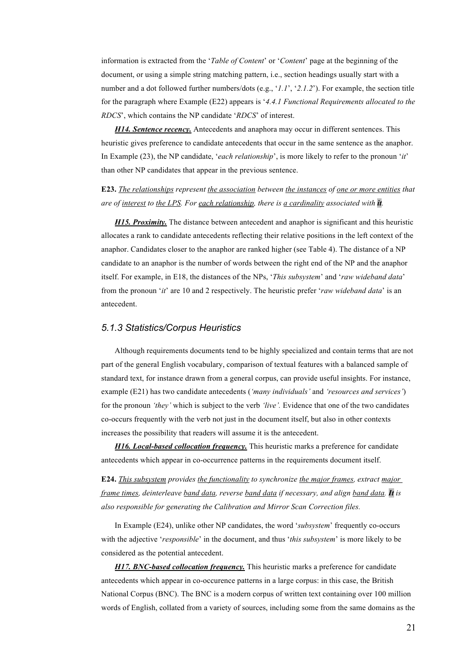information is extracted from the '*Table of Content*' or '*Content*' page at the beginning of the document, or using a simple string matching pattern, i.e., section headings usually start with a number and a dot followed further numbers/dots (e.g., '*1.1*', '*2.1.2*'). For example, the section title for the paragraph where Example (E22) appears is '*4.4.1 Functional Requirements allocated to the RDCS*', which contains the NP candidate '*RDCS*' of interest.

*H14. Sentence recency.* Antecedents and anaphora may occur in different sentences. This heuristic gives preference to candidate antecedents that occur in the same sentence as the anaphor. In Example (23), the NP candidate, '*each relationship*', is more likely to refer to the pronoun '*it*' than other NP candidates that appear in the previous sentence.

### **E23.** *The relationships represent the association between the instances of one or more entities that are of interest to the LPS. For each relationship, there is a cardinality associated with it.*

*H15. Proximity.* The distance between antecedent and anaphor is significant and this heuristic allocates a rank to candidate antecedents reflecting their relative positions in the left context of the anaphor. Candidates closer to the anaphor are ranked higher (see Table 4). The distance of a NP candidate to an anaphor is the number of words between the right end of the NP and the anaphor itself. For example, in E18, the distances of the NPs, '*This subsystem*' and '*raw wideband data*' from the pronoun '*it*' are 10 and 2 respectively. The heuristic prefer '*raw wideband data*' is an antecedent.

#### *5.1.3 Statistics/Corpus Heuristics*

Although requirements documents tend to be highly specialized and contain terms that are not part of the general English vocabulary, comparison of textual features with a balanced sample of standard text, for instance drawn from a general corpus, can provide useful insights. For instance, example (E21) has two candidate antecedents (*'many individuals'* and *'resources and services'*) for the pronoun *'they'* which is subject to the verb *'live'.* Evidence that one of the two candidates co-occurs frequently with the verb not just in the document itself, but also in other contexts increases the possibility that readers will assume it is the antecedent.

*H16. Local-based collocation frequency.* This heuristic marks a preference for candidate antecedents which appear in co-occurrence patterns in the requirements document itself.

**E24.** *This subsystem provides the functionality to synchronize the major frames, extract major frame times, deinterleave band data, reverse band data if necessary, and align band data. It is also responsible for generating the Calibration and Mirror Scan Correction files.*

In Example (E24), unlike other NP candidates, the word '*subsystem*' frequently co-occurs with the adjective '*responsible*' in the document, and thus '*this subsystem*' is more likely to be considered as the potential antecedent.

*H17. BNC-based collocation frequency.* This heuristic marks a preference for candidate antecedents which appear in co-occurence patterns in a large corpus: in this case, the British National Corpus (BNC). The BNC is a modern corpus of written text containing over 100 million words of English, collated from a variety of sources, including some from the same domains as the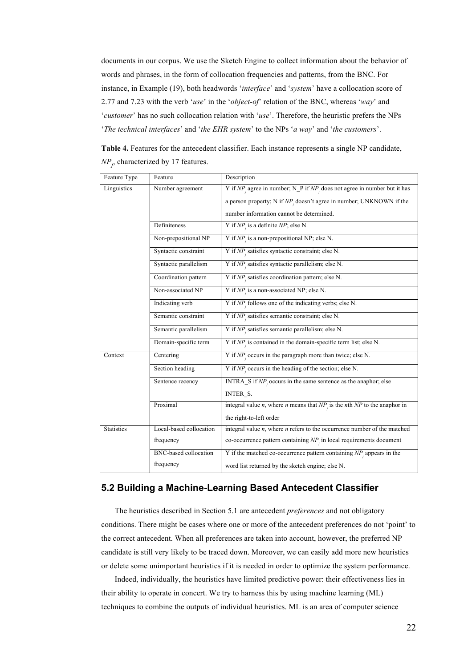documents in our corpus. We use the Sketch Engine to collect information about the behavior of words and phrases, in the form of collocation frequencies and patterns, from the BNC. For instance, in Example (19), both headwords '*interface*' and '*system*' have a collocation score of 2.77 and 7.23 with the verb '*use*' in the '*object-of*' relation of the BNC, whereas '*way*' and '*customer*' has no such collocation relation with '*use*'. Therefore, the heuristic prefers the NPs '*The technical interfaces*' and '*the EHR system*' to the NPs '*a way*' and '*the customers*'.

| Feature Type      | Feature                 | Description                                                                                                        |
|-------------------|-------------------------|--------------------------------------------------------------------------------------------------------------------|
| Linguistics       | Number agreement        | Y if $NP$ <sub><i>j</i></sub> agree in number; N_P if $NP$ <sub><i>j</i></sub> does not agree in number but it has |
|                   |                         | a person property; N if $NP$ doesn't agree in number; UNKNOWN if the                                               |
|                   |                         | number information cannot be determined.                                                                           |
|                   | Definiteness            | Y if $NP$ is a definite $NP$ ; else N.                                                                             |
|                   | Non-prepositional NP    | Y if $NP$ is a non-prepositional NP; else N.                                                                       |
|                   | Syntactic constraint    | Y if $NP$ satisfies syntactic constraint; else N.                                                                  |
|                   | Syntactic parallelism   | Y if $NP$ satisfies syntactic parallelism; else N.                                                                 |
|                   | Coordination pattern    | Y if $NP$ satisfies coordination pattern; else N.                                                                  |
|                   | Non-associated NP       | Y if NP is a non-associated NP; else N.                                                                            |
|                   | Indicating verb         | Y if $NP$ follows one of the indicating verbs; else N.                                                             |
|                   | Semantic constraint     | Y if $NP$ satisfies semantic constraint; else N.                                                                   |
|                   | Semantic parallelism    | Y if NP satisfies semantic parallelism; else N.                                                                    |
|                   | Domain-specific term    | Y if $NP$ is contained in the domain-specific term list; else N.                                                   |
| Context           | Centering               | Y if $NP$ occurs in the paragraph more than twice; else N.                                                         |
|                   | Section heading         | Y if $NP$ occurs in the heading of the section; else N.                                                            |
|                   | Sentence recency        | INTRA_S if $NP$ <sub><i>j</i></sub> occurs in the same sentence as the anaphor; else                               |
|                   |                         | INTER S.                                                                                                           |
|                   | Proximal                | integral value <i>n</i> , where <i>n</i> means that $NP$ is the <i>n</i> th <i>NP</i> to the anaphor in            |
|                   |                         | the right-to-left order                                                                                            |
| <b>Statistics</b> | Local-based collocation | integral value $n$ , where $n$ refers to the occurrence number of the matched                                      |
|                   | frequency               | co-occurrence pattern containing $NP$ in local requirements document                                               |
|                   | BNC-based collocation   | Y if the matched co-occurrence pattern containing $NP$ appears in the                                              |
|                   | frequency               | word list returned by the sketch engine; else N.                                                                   |

**Table 4.** Features for the antecedent classifier. Each instance represents a single NP candidate, *NP<sup>j</sup>* , characterized by 17 features.

### **5.2 Building a Machine-Learning Based Antecedent Classifier**

The heuristics described in Section 5.1 are antecedent *preferences* and not obligatory conditions. There might be cases where one or more of the antecedent preferences do not 'point' to the correct antecedent. When all preferences are taken into account, however, the preferred NP candidate is still very likely to be traced down. Moreover, we can easily add more new heuristics or delete some unimportant heuristics if it is needed in order to optimize the system performance.

Indeed, individually, the heuristics have limited predictive power: their effectiveness lies in their ability to operate in concert. We try to harness this by using machine learning (ML) techniques to combine the outputs of individual heuristics. ML is an area of computer science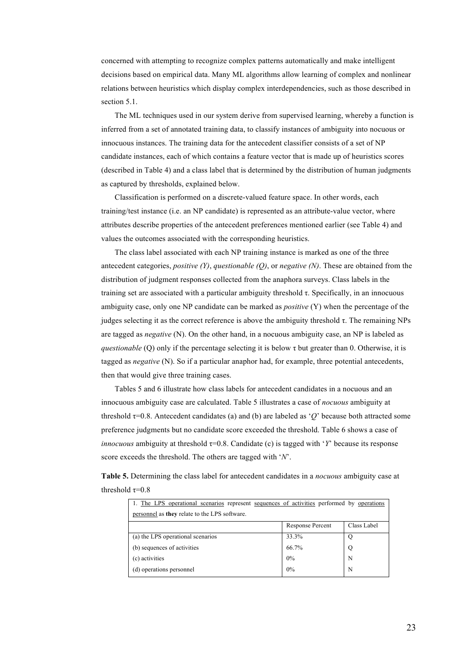concerned with attempting to recognize complex patterns automatically and make intelligent decisions based on empirical data. Many ML algorithms allow learning of complex and nonlinear relations between heuristics which display complex interdependencies, such as those described in section 5.1.

The ML techniques used in our system derive from supervised learning, whereby a function is inferred from a set of annotated training data, to classify instances of ambiguity into nocuous or innocuous instances. The training data for the antecedent classifier consists of a set of NP candidate instances, each of which contains a feature vector that is made up of heuristics scores (described in Table 4) and a class label that is determined by the distribution of human judgments as captured by thresholds, explained below.

Classification is performed on a discrete-valued feature space. In other words, each training/test instance (i.e. an NP candidate) is represented as an attribute-value vector, where attributes describe properties of the antecedent preferences mentioned earlier (see Table 4) and values the outcomes associated with the corresponding heuristics.

The class label associated with each NP training instance is marked as one of the three antecedent categories, *positive (Y)*, *questionable (Q)*, or *negative (N)*. These are obtained from the distribution of judgment responses collected from the anaphora surveys. Class labels in the training set are associated with a particular ambiguity threshold τ. Specifically, in an innocuous ambiguity case, only one NP candidate can be marked as *positive* (Y) when the percentage of the judges selecting it as the correct reference is above the ambiguity threshold τ. The remaining NPs are tagged as *negative* (N). On the other hand, in a nocuous ambiguity case, an NP is labeled as *questionable* (Q) only if the percentage selecting it is below  $\tau$  but greater than 0. Otherwise, it is tagged as *negative* (N). So if a particular anaphor had, for example, three potential antecedents, then that would give three training cases.

Tables 5 and 6 illustrate how class labels for antecedent candidates in a nocuous and an innocuous ambiguity case are calculated. Table 5 illustrates a case of *nocuous* ambiguity at threshold τ=0.8. Antecedent candidates (a) and (b) are labeled as '*Q*' because both attracted some preference judgments but no candidate score exceeded the threshold. Table 6 shows a case of *innocuous* ambiguity at threshold τ=0.8. Candidate (c) is tagged with '*Y*' because its response score exceeds the threshold. The others are tagged with '*N*'.

**Table 5.** Determining the class label for antecedent candidates in a *nocuous* ambiguity case at threshold  $\tau=0.8$ 

| 1. The LPS operational scenarios represent sequences of activities performed by operations |                  |             |  |  |  |  |
|--------------------------------------------------------------------------------------------|------------------|-------------|--|--|--|--|
| personnel as they relate to the LPS software.                                              |                  |             |  |  |  |  |
|                                                                                            | Response Percent | Class Label |  |  |  |  |
| (a) the LPS operational scenarios                                                          | 33.3%            |             |  |  |  |  |
| (b) sequences of activities                                                                | 66.7%            |             |  |  |  |  |
| (c) activities                                                                             | 0%               | N           |  |  |  |  |
| (d) operations personnel                                                                   | 0%               | N           |  |  |  |  |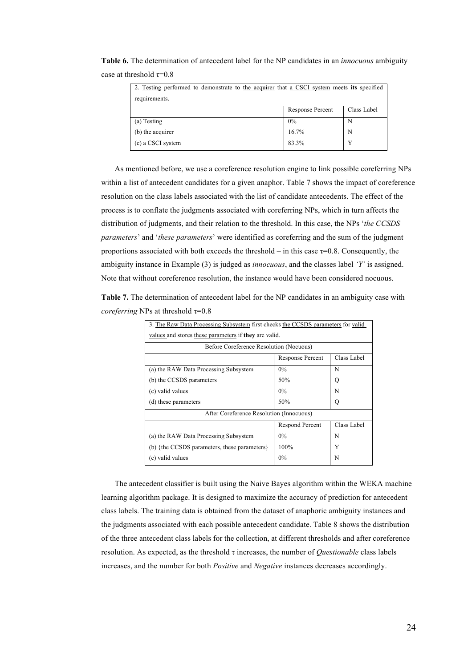**Table 6.** The determination of antecedent label for the NP candidates in an *innocuous* ambiguity case at threshold  $\tau=0.8$ 

| 2. Testing performed to demonstrate to the acquirer that a CSCI system meets its specified |       |   |  |  |  |  |  |
|--------------------------------------------------------------------------------------------|-------|---|--|--|--|--|--|
| requirements.                                                                              |       |   |  |  |  |  |  |
| Class Label<br>Response Percent                                                            |       |   |  |  |  |  |  |
| (a) Testing                                                                                | 0%    | N |  |  |  |  |  |
| (b) the acquirer                                                                           | 16.7% | N |  |  |  |  |  |
| (c) a CSCI system                                                                          | 83.3% | Y |  |  |  |  |  |

As mentioned before, we use a coreference resolution engine to link possible coreferring NPs within a list of antecedent candidates for a given anaphor. Table 7 shows the impact of coreference resolution on the class labels associated with the list of candidate antecedents. The effect of the process is to conflate the judgments associated with coreferring NPs, which in turn affects the distribution of judgments, and their relation to the threshold. In this case, the NPs '*the CCSDS parameters*' and '*these parameters*' were identified as coreferring and the sum of the judgment proportions associated with both exceeds the threshold – in this case  $\tau=0.8$ . Consequently, the ambiguity instance in Example (3) is judged as *innocuous*, and the classes label *'Y'* is assigned. Note that without coreference resolution, the instance would have been considered nocuous.

**Table 7.** The determination of antecedent label for the NP candidates in an ambiguity case with *coreferring* NPs at threshold τ=0.8

| 3. The Raw Data Processing Subsystem first checks the CCSDS parameters for valid |            |  |  |  |  |  |  |
|----------------------------------------------------------------------------------|------------|--|--|--|--|--|--|
| values and stores these parameters if they are valid.                            |            |  |  |  |  |  |  |
| Before Coreference Resolution (Nocuous)                                          |            |  |  |  |  |  |  |
| Class Label<br>Response Percent                                                  |            |  |  |  |  |  |  |
| (a) the RAW Data Processing Subsystem                                            | $0\%$<br>N |  |  |  |  |  |  |
| (b) the CCSDS parameters<br>50%<br>Q                                             |            |  |  |  |  |  |  |
| 0%<br>N<br>(c) valid values                                                      |            |  |  |  |  |  |  |
| 50%<br>(d) these parameters<br>О                                                 |            |  |  |  |  |  |  |
| After Coreference Resolution (Innocuous)                                         |            |  |  |  |  |  |  |
| Class Label<br>Respond Percent                                                   |            |  |  |  |  |  |  |
| (a) the RAW Data Processing Subsystem<br>$0\%$<br>N                              |            |  |  |  |  |  |  |
| Y<br>100%<br>(b) {the CCSDS parameters, these parameters}                        |            |  |  |  |  |  |  |
| 0%<br>(c) valid values<br>N                                                      |            |  |  |  |  |  |  |

The antecedent classifier is built using the Naive Bayes algorithm within the WEKA machine learning algorithm package. It is designed to maximize the accuracy of prediction for antecedent class labels. The training data is obtained from the dataset of anaphoric ambiguity instances and the judgments associated with each possible antecedent candidate. Table 8 shows the distribution of the three antecedent class labels for the collection, at different thresholds and after coreference resolution. As expected, as the threshold τ increases, the number of *Questionable* class labels increases, and the number for both *Positive* and *Negative* instances decreases accordingly.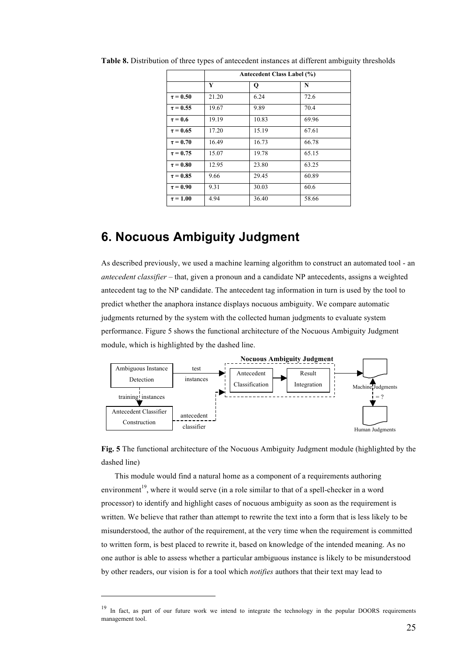|               | Antecedent Class Label (%) |       |       |  |  |
|---------------|----------------------------|-------|-------|--|--|
|               | Y                          | Q     | N     |  |  |
| $\tau = 0.50$ | 21.20                      | 6.24  | 72.6  |  |  |
| $\tau = 0.55$ | 19.67                      | 9.89  | 70.4  |  |  |
| $\tau = 0.6$  | 19.19                      | 10.83 | 69.96 |  |  |
| $\tau = 0.65$ | 17.20                      | 15.19 | 67.61 |  |  |
| $\tau = 0.70$ | 16.49                      | 16.73 | 66.78 |  |  |
| $\tau = 0.75$ | 15.07                      | 19.78 | 65.15 |  |  |
| $\tau = 0.80$ | 12.95                      | 23.80 | 63.25 |  |  |
| $\tau = 0.85$ | 9.66                       | 29.45 | 60.89 |  |  |
| $\tau = 0.90$ | 9.31                       | 30.03 | 60.6  |  |  |
| $\tau = 1.00$ | 4.94                       | 36.40 | 58.66 |  |  |

**Table 8.** Distribution of three types of antecedent instances at different ambiguity thresholds

# **6. Nocuous Ambiguity Judgment**

As described previously, we used a machine learning algorithm to construct an automated tool - an *antecedent classifier* – that, given a pronoun and a candidate NP antecedents, assigns a weighted antecedent tag to the NP candidate. The antecedent tag information in turn is used by the tool to predict whether the anaphora instance displays nocuous ambiguity. We compare automatic judgments returned by the system with the collected human judgments to evaluate system performance. Figure 5 shows the functional architecture of the Nocuous Ambiguity Judgment module, which is highlighted by the dashed line.



**Fig. 5** The functional architecture of the Nocuous Ambiguity Judgment module (highlighted by the dashed line)

This module would find a natural home as a component of a requirements authoring environment<sup>19</sup>, where it would serve (in a role similar to that of a spell-checker in a word processor) to identify and highlight cases of nocuous ambiguity as soon as the requirement is written. We believe that rather than attempt to rewrite the text into a form that is less likely to be misunderstood, the author of the requirement, at the very time when the requirement is committed to written form, is best placed to rewrite it, based on knowledge of the intended meaning. As no one author is able to assess whether a particular ambiguous instance is likely to be misunderstood by other readers, our vision is for a tool which *notifies* authors that their text may lead to

<sup>&</sup>lt;sup>19</sup> In fact, as part of our future work we intend to integrate the technology in the popular DOORS requirements management tool.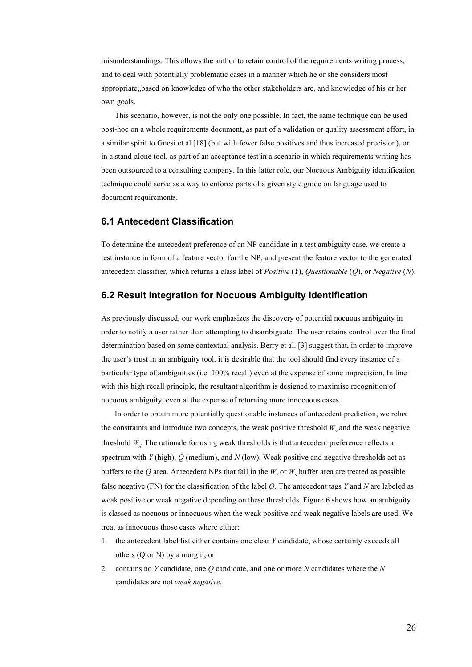misunderstandings. This allows the author to retain control of the requirements writing process, and to deal with potentially problematic cases in a manner which he or she considers most appropriate,,based on knowledge of who the other stakeholders are, and knowledge of his or her own goals.

This scenario, however, is not the only one possible. In fact, the same technique can be used post-hoc on a whole requirements document, as part of a validation or quality assessment effort, in a similar spirit to Gnesi et al [18] (but with fewer false positives and thus increased precision), or in a stand-alone tool, as part of an acceptance test in a scenario in which requirements writing has been outsourced to a consulting company. In this latter role, our Nocuous Ambiguity identification technique could serve as a way to enforce parts of a given style guide on language used to document requirements.

### **6.1 Antecedent Classification**

To determine the antecedent preference of an NP candidate in a test ambiguity case, we create a test instance in form of a feature vector for the NP, and present the feature vector to the generated antecedent classifier, which returns a class label of *Positive* (*Y*), *Questionable* (*Q*), or *Negative* (*N*).

#### **6.2 Result Integration for Nocuous Ambiguity Identification**

As previously discussed, our work emphasizes the discovery of potential nocuous ambiguity in order to notify a user rather than attempting to disambiguate. The user retains control over the final determination based on some contextual analysis. Berry et al. [3] suggest that, in order to improve the user's trust in an ambiguity tool, it is desirable that the tool should find every instance of a particular type of ambiguities (i.e. 100% recall) even at the expense of some imprecision. In line with this high recall principle, the resultant algorithm is designed to maximise recognition of nocuous ambiguity, even at the expense of returning more innocuous cases.

In order to obtain more potentially questionable instances of antecedent prediction, we relax the constraints and introduce two concepts, the weak positive threshold  $W_{\gamma}$  and the weak negative threshold  $W_{\nu}$ . The rationale for using weak thresholds is that antecedent preference reflects a spectrum with *Y* (high), *Q* (medium), and *N* (low). Weak positive and negative thresholds act as buffers to the *Q* area. Antecedent NPs that fall in the  $W_{\gamma}$  or  $W_{N}$  buffer area are treated as possible false negative (FN) for the classification of the label *Q*. The antecedent tags *Y* and *N* are labeled as weak positive or weak negative depending on these thresholds. Figure 6 shows how an ambiguity is classed as nocuous or innocuous when the weak positive and weak negative labels are used. We treat as innocuous those cases where either:

- 1. the antecedent label list either contains one clear *Y* candidate, whose certainty exceeds all others (Q or N) by a margin, or
- 2. contains no *Y* candidate, one *Q* candidate, and one or more *N* candidates where the *N* candidates are not *weak negative*.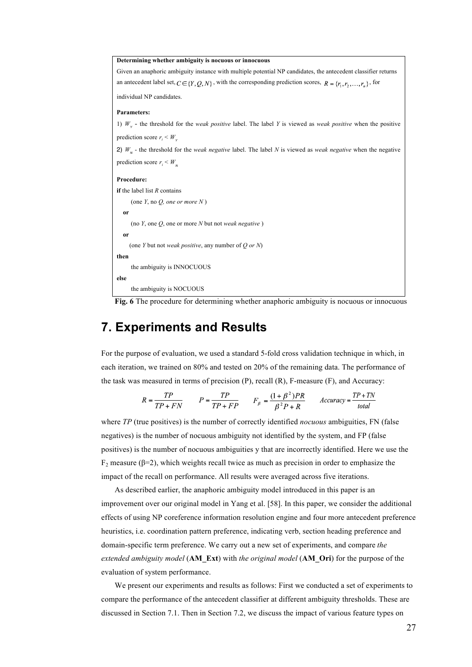#### **Determining whether ambiguity is nocuous or innocuous**

Given an anaphoric ambiguity instance with multiple potential NP candidates, the antecedent classifier returns an antecedent label set,  $C \in \{Y, Q, N\}$ , with the corresponding prediction scores,  $R = \{r_1, r_2, ..., r_n\}$ , for individual NP candidates.

#### **Parameters:**

1)  $W_{y}$  - the threshold for the *weak positive* label. The label *Y* is viewed as *weak positive* when the positive prediction score  $r_i \leq W_i$ 

2)  $W<sub>N</sub>$  - the threshold for the *weak negative* label. The label *N* is viewed as *weak negative* when the negative prediction score  $r_i \leq W$ 

#### **Procedure:**

```
if the label list R contains 
      (one Y, no Q, one or more N )
   or 
      (no Y, one Q, one or more N but not weak negative )
   or 
      (one Y but not weak positive, any number of Q or N) 
then
      the ambiguity is INNOCUOUS
else
      the ambiguity is NOCUOUS
```
**Fig. 6** The procedure for determining whether anaphoric ambiguity is nocuous or innocuous

# **7. Experiments and Results**

For the purpose of evaluation, we used a standard 5-fold cross validation technique in which, in each iteration, we trained on 80% and tested on 20% of the remaining data. The performance of the task was measured in terms of precision (P), recall (R), F-measure (F), and Accuracy:

$$
R = \frac{TP}{TP + FN} \qquad P = \frac{TP}{TP + FP} \qquad F_{\beta} = \frac{(1 + \beta^2)PR}{\beta^2 P + R} \qquad Accuracy = \frac{TP + TN}{total}
$$

where *TP* (true positives) is the number of correctly identified *nocuous* ambiguities, FN (false negatives) is the number of nocuous ambiguity not identified by the system, and FP (false positives) is the number of nocuous ambiguities y that are incorrectly identified. Here we use the  $F<sub>2</sub>$  measure (β=2), which weights recall twice as much as precision in order to emphasize the impact of the recall on performance. All results were averaged across five iterations.

As described earlier, the anaphoric ambiguity model introduced in this paper is an improvement over our original model in Yang et al. [58]. In this paper, we consider the additional effects of using NP coreference information resolution engine and four more antecedent preference heuristics, i.e. coordination pattern preference, indicating verb, section heading preference and domain-specific term preference. We carry out a new set of experiments, and compare *the extended ambiguity model* (**AM\_Ext**) with *the original model* (**AM\_Ori**) for the purpose of the evaluation of system performance.

We present our experiments and results as follows: First we conducted a set of experiments to compare the performance of the antecedent classifier at different ambiguity thresholds. These are discussed in Section 7.1. Then in Section 7.2, we discuss the impact of various feature types on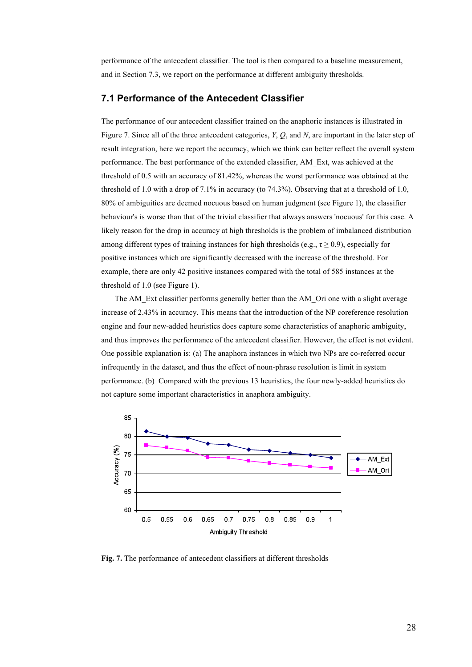performance of the antecedent classifier. The tool is then compared to a baseline measurement, and in Section 7.3, we report on the performance at different ambiguity thresholds.

#### **7.1 Performance of the Antecedent Classifier**

The performance of our antecedent classifier trained on the anaphoric instances is illustrated in Figure 7. Since all of the three antecedent categories, *Y*, *Q*, and *N*, are important in the later step of result integration, here we report the accuracy, which we think can better reflect the overall system performance. The best performance of the extended classifier, AM\_Ext, was achieved at the threshold of 0.5 with an accuracy of 81.42%, whereas the worst performance was obtained at the threshold of 1.0 with a drop of 7.1% in accuracy (to 74.3%). Observing that at a threshold of 1.0, 80% of ambiguities are deemed nocuous based on human judgment (see Figure 1), the classifier behaviour's is worse than that of the trivial classifier that always answers 'nocuous' for this case. A likely reason for the drop in accuracy at high thresholds is the problem of imbalanced distribution among different types of training instances for high thresholds (e.g.,  $\tau \ge 0.9$ ), especially for positive instances which are significantly decreased with the increase of the threshold. For example, there are only 42 positive instances compared with the total of 585 instances at the threshold of 1.0 (see Figure 1).

The AM\_Ext classifier performs generally better than the AM\_Ori one with a slight average increase of 2.43% in accuracy. This means that the introduction of the NP coreference resolution engine and four new-added heuristics does capture some characteristics of anaphoric ambiguity, and thus improves the performance of the antecedent classifier. However, the effect is not evident. One possible explanation is: (a) The anaphora instances in which two NPs are co-referred occur infrequently in the dataset, and thus the effect of noun-phrase resolution is limit in system performance. (b) Compared with the previous 13 heuristics, the four newly-added heuristics do not capture some important characteristics in anaphora ambiguity.



**Fig. 7.** The performance of antecedent classifiers at different thresholds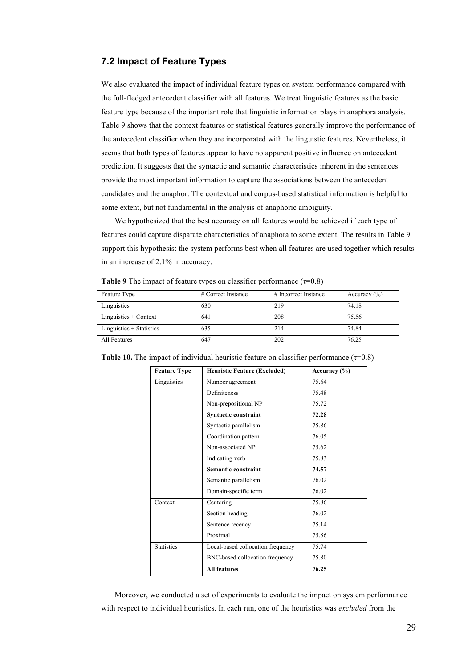### **7.2 Impact of Feature Types**

We also evaluated the impact of individual feature types on system performance compared with the full-fledged antecedent classifier with all features. We treat linguistic features as the basic feature type because of the important role that linguistic information plays in anaphora analysis. Table 9 shows that the context features or statistical features generally improve the performance of the antecedent classifier when they are incorporated with the linguistic features. Nevertheless, it seems that both types of features appear to have no apparent positive influence on antecedent prediction. It suggests that the syntactic and semantic characteristics inherent in the sentences provide the most important information to capture the associations between the antecedent candidates and the anaphor. The contextual and corpus-based statistical information is helpful to some extent, but not fundamental in the analysis of anaphoric ambiguity.

We hypothesized that the best accuracy on all features would be achieved if each type of features could capture disparate characteristics of anaphora to some extent. The results in Table 9 support this hypothesis: the system performs best when all features are used together which results in an increase of 2.1% in accuracy.

| Feature Type               | # Correct Instance | # Incorrect Instance | Accuracy $(\% )$ |
|----------------------------|--------------------|----------------------|------------------|
| Linguistics                | 630                | 219                  | 74.18            |
| $Linguistics + Context$    | 641                | 208                  | 75.56            |
| $Linguistics + Statistics$ | 635                | 214                  | 74.84            |
| All Features               | 647                | 202                  | 76.25            |

**Table 9** The impact of feature types on classifier performance  $(\tau=0.8)$ 

| <b>Feature Type</b> | <b>Heuristic Feature (Excluded)</b> | Accuracy (%) |  |  |
|---------------------|-------------------------------------|--------------|--|--|
| Linguistics         | Number agreement                    | 75.64        |  |  |
|                     | Definiteness                        | 75.48        |  |  |
|                     | Non-prepositional NP                | 75.72        |  |  |
|                     | <b>Syntactic constraint</b>         | 72.28        |  |  |
|                     | Syntactic parallelism               | 75.86        |  |  |
|                     | Coordination pattern                | 76.05        |  |  |
|                     | Non-associated NP                   | 75.62        |  |  |
|                     | Indicating verb                     | 75.83        |  |  |
|                     | <b>Semantic constraint</b>          | 74.57        |  |  |
|                     | Semantic parallelism                | 76.02        |  |  |
|                     | Domain-specific term                | 76.02        |  |  |
| Context             | Centering                           | 75.86        |  |  |
|                     | Section heading                     | 76.02        |  |  |
|                     | Sentence recency                    | 75.14        |  |  |
|                     | Proximal                            | 75.86        |  |  |
| <b>Statistics</b>   | Local-based collocation frequency   | 75.74        |  |  |
|                     | BNC-based collocation frequency     | 75.80        |  |  |
|                     | <b>All features</b>                 | 76.25        |  |  |

**Table 10.** The impact of individual heuristic feature on classifier performance  $(\tau=0.8)$ 

Moreover, we conducted a set of experiments to evaluate the impact on system performance with respect to individual heuristics. In each run, one of the heuristics was *excluded* from the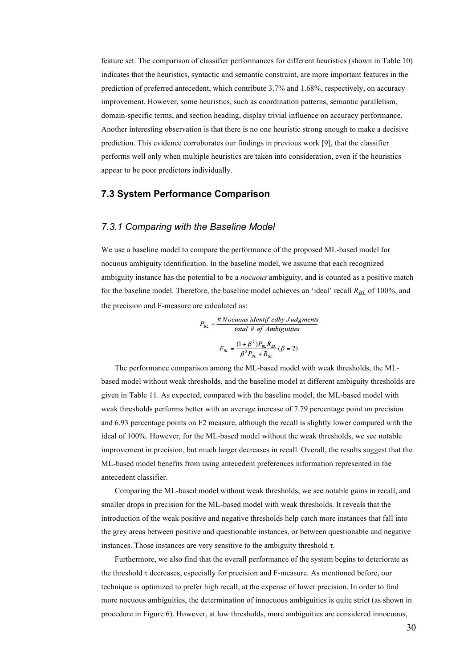feature set. The comparison of classifier performances for different heuristics (shown in Table 10) indicates that the heuristics, syntactic and semantic constraint, are more important features in the prediction of preferred antecedent, which contribute 3.7% and 1.68%, respectively, on accuracy improvement. However, some heuristics, such as coordination patterns, semantic parallelism, domain-specific terms, and section heading, display trivial influence on accuracy performance. Another interesting observation is that there is no one heuristic strong enough to make a decisive prediction. This evidence corroborates our findings in previous work [9], that the classifier performs well only when multiple heuristics are taken into consideration, even if the heuristics appear to be poor predictors individually.

#### **7.3 System Performance Comparison**

#### *7.3.1 Comparing with the Baseline Model*

We use a baseline model to compare the performance of the proposed ML-based model for nocuous ambiguity identification. In the baseline model, we assume that each recognized ambiguity instance has the potential to be a *nocuous* ambiguity, and is counted as a positive match for the baseline model. Therefore, the baseline model achieves an 'ideal' recall *R<sub>BL</sub>* of 100%, and the precision and F-measure are calculated as:

$$
P_{BL} = \frac{\# N occurs \, identity \, edby \,Judgments}{total \# \, of \, Ambiguities}
$$
\n
$$
F_{BL} = \frac{(1 + \beta^2) P_{BL} R_{BL}}{\beta^2 P_{pr} + R_{pr}} (\beta = 2)
$$

The performance comparison among the ML-based model with weak thresholds, the MLbased model without weak thresholds, and the baseline model at different ambiguity thresholds are given in Table 11. As expected, compared with the baseline model, the ML-based model with weak thresholds performs better with an average increase of 7.79 percentage point on precision and 6.93 percentage points on F2 measure, although the recall is slightly lower compared with the ideal of 100%. However, for the ML-based model without the weak thresholds, we see notable improvement in precision, but much larger decreases in recall. Overall, the results suggest that the ML-based model benefits from using antecedent preferences information represented in the antecedent classifier.

Comparing the ML-based model without weak thresholds, we see notable gains in recall, and smaller drops in precision for the ML-based model with weak thresholds. It reveals that the introduction of the weak positive and negative thresholds help catch more instances that fall into the grey areas between positive and questionable instances, or between questionable and negative instances. Those instances are very sensitive to the ambiguity threshold τ.

Furthermore, we also find that the overall performance of the system begins to deteriorate as the threshold τ decreases, especially for precision and F-measure. As mentioned before, our technique is optimized to prefer high recall, at the expense of lower precision. In order to find more nocuous ambiguities, the determination of innocuous ambiguities is quite strict (as shown in procedure in Figure 6). However, at low thresholds, more ambiguities are considered innocuous,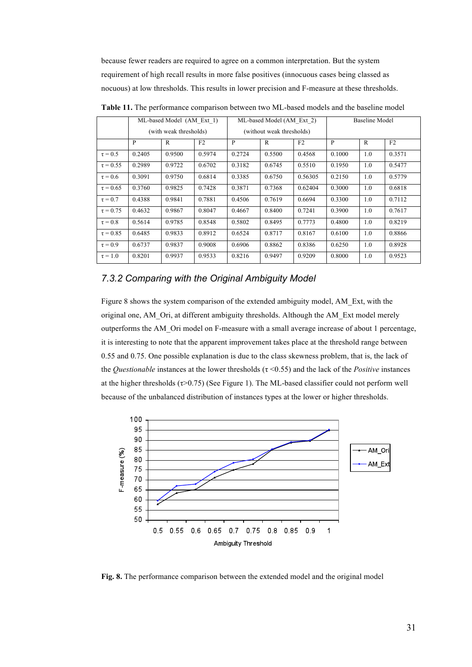because fewer readers are required to agree on a common interpretation. But the system requirement of high recall results in more false positives (innocuous cases being classed as nocuous) at low thresholds. This results in lower precision and F-measure at these thresholds.

|               | ML-based Model (AM Ext 1) |                        |                |                           | ML-based Model (AM Ext 2) |                | <b>Baseline Model</b> |     |                |
|---------------|---------------------------|------------------------|----------------|---------------------------|---------------------------|----------------|-----------------------|-----|----------------|
|               |                           | (with weak thresholds) |                | (without weak thresholds) |                           |                |                       |     |                |
|               | P                         | R                      | F <sub>2</sub> | P                         | R                         | F <sub>2</sub> | P                     | R   | F <sub>2</sub> |
| $\tau = 0.5$  | 0.2405                    | 0.9500                 | 0.5974         | 0.2724                    | 0.5500                    | 0.4568         | 0.1000                | 1.0 | 0.3571         |
| $\tau = 0.55$ | 0.2989                    | 0.9722                 | 0.6702         | 0.3182                    | 0.6745                    | 0.5510         | 0.1950                | 1.0 | 0.5477         |
| $\tau = 0.6$  | 0.3091                    | 0.9750                 | 0.6814         | 0.3385                    | 0.6750                    | 0.56305        | 0.2150                | 1.0 | 0.5779         |
| $\tau = 0.65$ | 0.3760                    | 0.9825                 | 0.7428         | 0.3871                    | 0.7368                    | 0.62404        | 0.3000                | 1.0 | 0.6818         |
| $\tau = 0.7$  | 0.4388                    | 0.9841                 | 0.7881         | 0.4506                    | 0.7619                    | 0.6694         | 0.3300                | 1.0 | 0.7112         |
| $\tau = 0.75$ | 0.4632                    | 0.9867                 | 0.8047         | 0.4667                    | 0.8400                    | 0.7241         | 0.3900                | 1.0 | 0.7617         |
| $\tau = 0.8$  | 0.5614                    | 0.9785                 | 0.8548         | 0.5802                    | 0.8495                    | 0.7773         | 0.4800                | 1.0 | 0.8219         |
| $\tau = 0.85$ | 0.6485                    | 0.9833                 | 0.8912         | 0.6524                    | 0.8717                    | 0.8167         | 0.6100                | 1.0 | 0.8866         |
| $\tau = 0.9$  | 0.6737                    | 0.9837                 | 0.9008         | 0.6906                    | 0.8862                    | 0.8386         | 0.6250                | 1.0 | 0.8928         |
| $\tau = 1.0$  | 0.8201                    | 0.9937                 | 0.9533         | 0.8216                    | 0.9497                    | 0.9209         | 0.8000                | 1.0 | 0.9523         |

**Table 11.** The performance comparison between two ML-based models and the baseline model

### *7.3.2 Comparing with the Original Ambiguity Model*

Figure 8 shows the system comparison of the extended ambiguity model, AM\_Ext, with the original one, AM\_Ori, at different ambiguity thresholds. Although the AM\_Ext model merely outperforms the AM\_Ori model on F-measure with a small average increase of about 1 percentage, it is interesting to note that the apparent improvement takes place at the threshold range between 0.55 and 0.75. One possible explanation is due to the class skewness problem, that is, the lack of the *Questionable* instances at the lower thresholds (τ <0.55) and the lack of the *Positive* instances at the higher thresholds (τ>0.75) (See Figure 1). The ML-based classifier could not perform well because of the unbalanced distribution of instances types at the lower or higher thresholds.



**Fig. 8.** The performance comparison between the extended model and the original model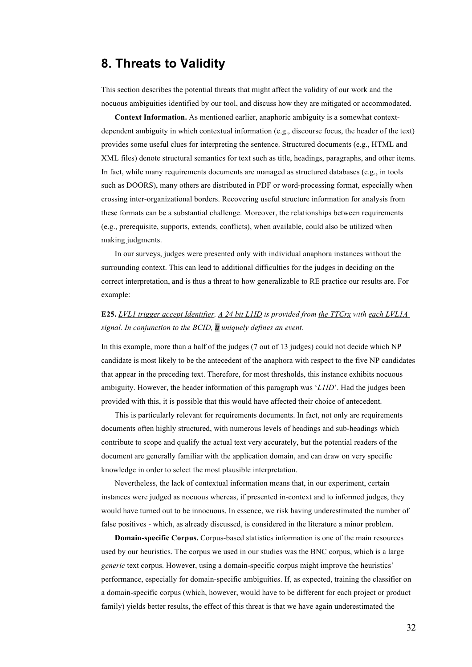# **8. Threats to Validity**

This section describes the potential threats that might affect the validity of our work and the nocuous ambiguities identified by our tool, and discuss how they are mitigated or accommodated.

**Context Information.** As mentioned earlier, anaphoric ambiguity is a somewhat contextdependent ambiguity in which contextual information (e.g., discourse focus, the header of the text) provides some useful clues for interpreting the sentence. Structured documents (e.g., HTML and XML files) denote structural semantics for text such as title, headings, paragraphs, and other items. In fact, while many requirements documents are managed as structured databases (e.g., in tools such as DOORS), many others are distributed in PDF or word-processing format, especially when crossing inter-organizational borders. Recovering useful structure information for analysis from these formats can be a substantial challenge. Moreover, the relationships between requirements (e.g., prerequisite, supports, extends, conflicts), when available, could also be utilized when making judgments.

In our surveys, judges were presented only with individual anaphora instances without the surrounding context. This can lead to additional difficulties for the judges in deciding on the correct interpretation, and is thus a threat to how generalizable to RE practice our results are. For example:

### **E25.** *LVL1 trigger accept Identifier, A 24 bit L1ID is provided from the TTCrx with each LVL1A signal. In conjunction to the BCID, it uniquely defines an event.*

In this example, more than a half of the judges (7 out of 13 judges) could not decide which NP candidate is most likely to be the antecedent of the anaphora with respect to the five NP candidates that appear in the preceding text. Therefore, for most thresholds, this instance exhibits nocuous ambiguity. However, the header information of this paragraph was '*L1ID*'. Had the judges been provided with this, it is possible that this would have affected their choice of antecedent.

This is particularly relevant for requirements documents. In fact, not only are requirements documents often highly structured, with numerous levels of headings and sub-headings which contribute to scope and qualify the actual text very accurately, but the potential readers of the document are generally familiar with the application domain, and can draw on very specific knowledge in order to select the most plausible interpretation.

Nevertheless, the lack of contextual information means that, in our experiment, certain instances were judged as nocuous whereas, if presented in-context and to informed judges, they would have turned out to be innocuous. In essence, we risk having underestimated the number of false positives - which, as already discussed, is considered in the literature a minor problem.

**Domain-specific Corpus.** Corpus-based statistics information is one of the main resources used by our heuristics. The corpus we used in our studies was the BNC corpus, which is a large *generic* text corpus. However, using a domain-specific corpus might improve the heuristics' performance, especially for domain-specific ambiguities. If, as expected, training the classifier on a domain-specific corpus (which, however, would have to be different for each project or product family) yields better results, the effect of this threat is that we have again underestimated the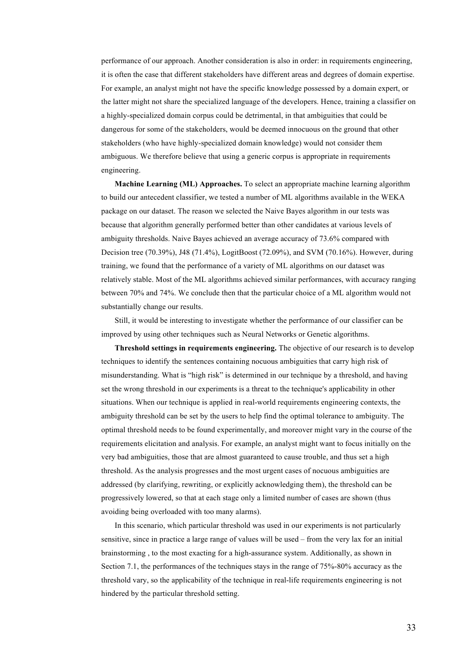performance of our approach. Another consideration is also in order: in requirements engineering, it is often the case that different stakeholders have different areas and degrees of domain expertise. For example, an analyst might not have the specific knowledge possessed by a domain expert, or the latter might not share the specialized language of the developers. Hence, training a classifier on a highly-specialized domain corpus could be detrimental, in that ambiguities that could be dangerous for some of the stakeholders, would be deemed innocuous on the ground that other stakeholders (who have highly-specialized domain knowledge) would not consider them ambiguous. We therefore believe that using a generic corpus is appropriate in requirements engineering.

**Machine Learning (ML) Approaches.** To select an appropriate machine learning algorithm to build our antecedent classifier, we tested a number of ML algorithms available in the WEKA package on our dataset. The reason we selected the Naive Bayes algorithm in our tests was because that algorithm generally performed better than other candidates at various levels of ambiguity thresholds. Naive Bayes achieved an average accuracy of 73.6% compared with Decision tree (70.39%), J48 (71.4%), LogitBoost (72.09%), and SVM (70.16%). However, during training, we found that the performance of a variety of ML algorithms on our dataset was relatively stable. Most of the ML algorithms achieved similar performances, with accuracy ranging between 70% and 74%. We conclude then that the particular choice of a ML algorithm would not substantially change our results.

Still, it would be interesting to investigate whether the performance of our classifier can be improved by using other techniques such as Neural Networks or Genetic algorithms.

**Threshold settings in requirements engineering.** The objective of our research is to develop techniques to identify the sentences containing nocuous ambiguities that carry high risk of misunderstanding. What is "high risk" is determined in our technique by a threshold, and having set the wrong threshold in our experiments is a threat to the technique's applicability in other situations. When our technique is applied in real-world requirements engineering contexts, the ambiguity threshold can be set by the users to help find the optimal tolerance to ambiguity. The optimal threshold needs to be found experimentally, and moreover might vary in the course of the requirements elicitation and analysis. For example, an analyst might want to focus initially on the very bad ambiguities, those that are almost guaranteed to cause trouble, and thus set a high threshold. As the analysis progresses and the most urgent cases of nocuous ambiguities are addressed (by clarifying, rewriting, or explicitly acknowledging them), the threshold can be progressively lowered, so that at each stage only a limited number of cases are shown (thus avoiding being overloaded with too many alarms).

In this scenario, which particular threshold was used in our experiments is not particularly sensitive, since in practice a large range of values will be used – from the very lax for an initial brainstorming , to the most exacting for a high-assurance system. Additionally, as shown in Section 7.1, the performances of the techniques stays in the range of 75%-80% accuracy as the threshold vary, so the applicability of the technique in real-life requirements engineering is not hindered by the particular threshold setting.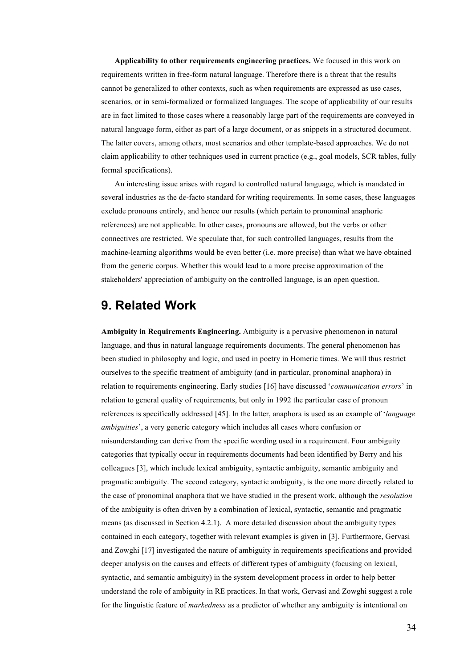**Applicability to other requirements engineering practices.** We focused in this work on requirements written in free-form natural language. Therefore there is a threat that the results cannot be generalized to other contexts, such as when requirements are expressed as use cases, scenarios, or in semi-formalized or formalized languages. The scope of applicability of our results are in fact limited to those cases where a reasonably large part of the requirements are conveyed in natural language form, either as part of a large document, or as snippets in a structured document. The latter covers, among others, most scenarios and other template-based approaches. We do not claim applicability to other techniques used in current practice (e.g., goal models, SCR tables, fully formal specifications).

An interesting issue arises with regard to controlled natural language, which is mandated in several industries as the de-facto standard for writing requirements. In some cases, these languages exclude pronouns entirely, and hence our results (which pertain to pronominal anaphoric references) are not applicable. In other cases, pronouns are allowed, but the verbs or other connectives are restricted. We speculate that, for such controlled languages, results from the machine-learning algorithms would be even better (i.e. more precise) than what we have obtained from the generic corpus. Whether this would lead to a more precise approximation of the stakeholders' appreciation of ambiguity on the controlled language, is an open question.

# **9. Related Work**

**Ambiguity in Requirements Engineering.** Ambiguity is a pervasive phenomenon in natural language, and thus in natural language requirements documents. The general phenomenon has been studied in philosophy and logic, and used in poetry in Homeric times. We will thus restrict ourselves to the specific treatment of ambiguity (and in particular, pronominal anaphora) in relation to requirements engineering. Early studies [16] have discussed '*communication errors*' in relation to general quality of requirements, but only in 1992 the particular case of pronoun references is specifically addressed [45]. In the latter, anaphora is used as an example of '*language ambiguities*', a very generic category which includes all cases where confusion or misunderstanding can derive from the specific wording used in a requirement. Four ambiguity categories that typically occur in requirements documents had been identified by Berry and his colleagues [3], which include lexical ambiguity, syntactic ambiguity, semantic ambiguity and pragmatic ambiguity. The second category, syntactic ambiguity, is the one more directly related to the case of pronominal anaphora that we have studied in the present work, although the *resolution* of the ambiguity is often driven by a combination of lexical, syntactic, semantic and pragmatic means (as discussed in Section 4.2.1). A more detailed discussion about the ambiguity types contained in each category, together with relevant examples is given in [3]. Furthermore, Gervasi and Zowghi [17] investigated the nature of ambiguity in requirements specifications and provided deeper analysis on the causes and effects of different types of ambiguity (focusing on lexical, syntactic, and semantic ambiguity) in the system development process in order to help better understand the role of ambiguity in RE practices. In that work, Gervasi and Zowghi suggest a role for the linguistic feature of *markedness* as a predictor of whether any ambiguity is intentional on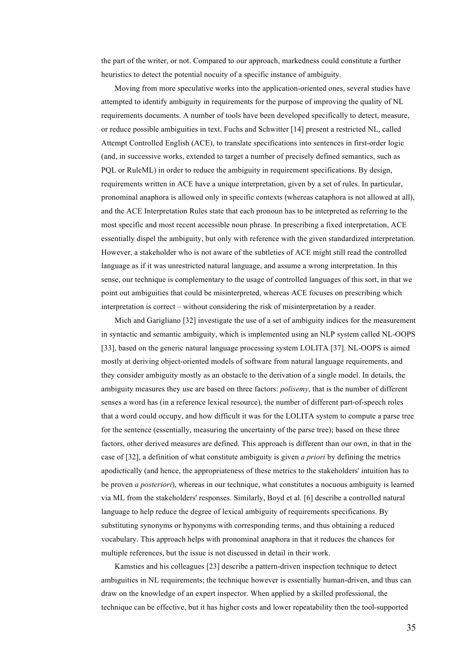the part of the writer, or not. Compared to our approach, markedness could constitute a further heuristics to detect the potential nocuity of a specific instance of ambiguity.

Moving from more speculative works into the application-oriented ones, several studies have attempted to identify ambiguity in requirements for the purpose of improving the quality of NL requirements documents. A number of tools have been developed specifically to detect, measure, or reduce possible ambiguities in text. Fuchs and Schwitter [14] present a restricted NL, called Attempt Controlled English (ACE), to translate specifications into sentences in first-order logic (and, in successive works, extended to target a number of precisely defined semantics, such as PQL or RuleML) in order to reduce the ambiguity in requirement specifications. By design, requirements written in ACE have a unique interpretation, given by a set of rules. In particular, pronominal anaphora is allowed only in specific contexts (whereas cataphora is not allowed at all), and the ACE Interpretation Rules state that each pronoun has to be interpreted as referring to the most specific and most recent accessible noun phrase. In prescribing a fixed interpretation, ACE essentially dispel the ambiguity, but only with reference with the given standardized interpretation. However, a stakeholder who is not aware of the subtleties of ACE might still read the controlled language as if it was unrestricted natural language, and assume a wrong interpretation. In this sense, our technique is complementary to the usage of controlled languages of this sort, in that we point out ambiguities that could be misinterpreted, whereas ACE focuses on prescribing which interpretation is correct – without considering the risk of misinterpretation by a reader.

Mich and Garigliano [32] investigate the use of a set of ambiguity indices for the measurement in syntactic and semantic ambiguity, which is implemented using an NLP system called NL-OOPS [33], based on the generic natural language processing system LOLITA [37]. NL-OOPS is aimed mostly at deriving object-oriented models of software from natural language requirements, and they consider ambiguity mostly as an obstacle to the derivation of a single model. In details, the ambiguity measures they use are based on three factors: *polisemy*, that is the number of different senses a word has (in a reference lexical resource), the number of different part-of-speech roles that a word could occupy, and how difficult it was for the LOLITA system to compute a parse tree for the sentence (essentially, measuring the uncertainty of the parse tree); based on these three factors, other derived measures are defined. This approach is different than our own, in that in the case of [32], a definition of what constitute ambiguity is given *a priori* by defining the metrics apodictically (and hence, the appropriateness of these metrics to the stakeholders' intuition has to be proven *a posteriori*), whereas in our technique, what constitutes a nocuous ambiguity is learned via ML from the stakeholders' responses. Similarly, Boyd et al. [6] describe a controlled natural language to help reduce the degree of lexical ambiguity of requirements specifications. By substituting synonyms or hyponyms with corresponding terms, and thus obtaining a reduced vocabulary. This approach helps with pronominal anaphora in that it reduces the chances for multiple references, but the issue is not discussed in detail in their work.

Kamsties and his colleagues [23] describe a pattern-driven inspection technique to detect ambiguities in NL requirements; the technique however is essentially human-driven, and thus can draw on the knowledge of an expert inspector. When applied by a skilled professional, the technique can be effective, but it has higher costs and lower repeatability then the tool-supported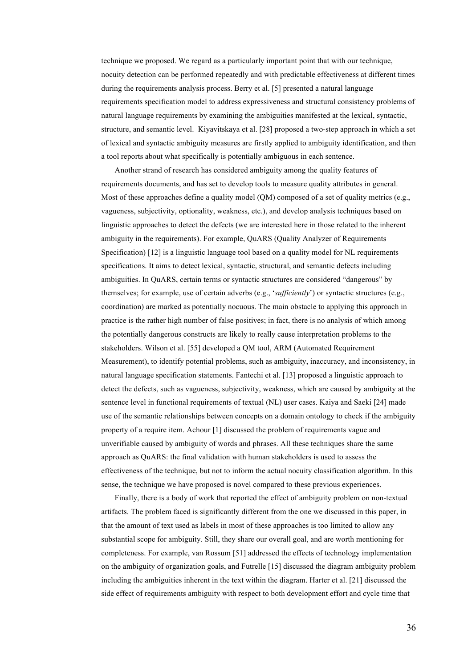technique we proposed. We regard as a particularly important point that with our technique, nocuity detection can be performed repeatedly and with predictable effectiveness at different times during the requirements analysis process. Berry et al. [5] presented a natural language requirements specification model to address expressiveness and structural consistency problems of natural language requirements by examining the ambiguities manifested at the lexical, syntactic, structure, and semantic level. Kiyavitskaya et al. [28] proposed a two-step approach in which a set of lexical and syntactic ambiguity measures are firstly applied to ambiguity identification, and then a tool reports about what specifically is potentially ambiguous in each sentence.

Another strand of research has considered ambiguity among the quality features of requirements documents, and has set to develop tools to measure quality attributes in general. Most of these approaches define a quality model (QM) composed of a set of quality metrics (e.g., vagueness, subjectivity, optionality, weakness, etc.), and develop analysis techniques based on linguistic approaches to detect the defects (we are interested here in those related to the inherent ambiguity in the requirements). For example, QuARS (Quality Analyzer of Requirements Specification) [12] is a linguistic language tool based on a quality model for NL requirements specifications. It aims to detect lexical, syntactic, structural, and semantic defects including ambiguities. In QuARS, certain terms or syntactic structures are considered "dangerous" by themselves; for example, use of certain adverbs (e.g., '*sufficiently*') or syntactic structures (e.g., coordination) are marked as potentially nocuous. The main obstacle to applying this approach in practice is the rather high number of false positives; in fact, there is no analysis of which among the potentially dangerous constructs are likely to really cause interpretation problems to the stakeholders. Wilson et al. [55] developed a QM tool, ARM (Automated Requirement Measurement), to identify potential problems, such as ambiguity, inaccuracy, and inconsistency, in natural language specification statements. Fantechi et al. [13] proposed a linguistic approach to detect the defects, such as vagueness, subjectivity, weakness, which are caused by ambiguity at the sentence level in functional requirements of textual (NL) user cases. Kaiya and Saeki [24] made use of the semantic relationships between concepts on a domain ontology to check if the ambiguity property of a require item. Achour [1] discussed the problem of requirements vague and unverifiable caused by ambiguity of words and phrases. All these techniques share the same approach as QuARS: the final validation with human stakeholders is used to assess the effectiveness of the technique, but not to inform the actual nocuity classification algorithm. In this sense, the technique we have proposed is novel compared to these previous experiences.

Finally, there is a body of work that reported the effect of ambiguity problem on non-textual artifacts. The problem faced is significantly different from the one we discussed in this paper, in that the amount of text used as labels in most of these approaches is too limited to allow any substantial scope for ambiguity. Still, they share our overall goal, and are worth mentioning for completeness. For example, van Rossum [51] addressed the effects of technology implementation on the ambiguity of organization goals, and Futrelle [15] discussed the diagram ambiguity problem including the ambiguities inherent in the text within the diagram. Harter et al. [21] discussed the side effect of requirements ambiguity with respect to both development effort and cycle time that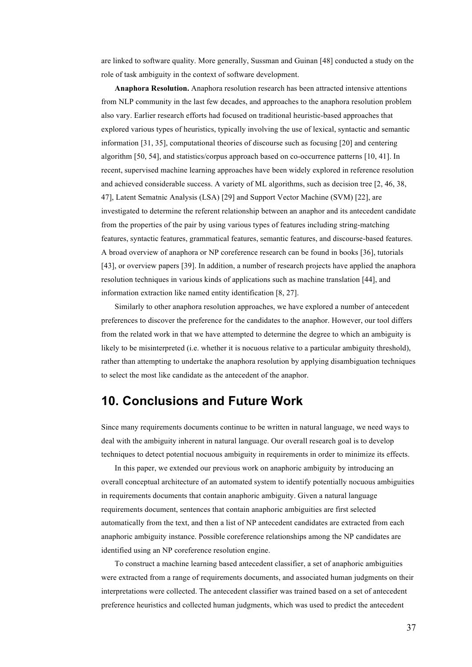are linked to software quality. More generally, Sussman and Guinan [48] conducted a study on the role of task ambiguity in the context of software development.

**Anaphora Resolution.** Anaphora resolution research has been attracted intensive attentions from NLP community in the last few decades, and approaches to the anaphora resolution problem also vary. Earlier research efforts had focused on traditional heuristic-based approaches that explored various types of heuristics, typically involving the use of lexical, syntactic and semantic information [31, 35], computational theories of discourse such as focusing [20] and centering algorithm [50, 54], and statistics/corpus approach based on co-occurrence patterns [10, 41]. In recent, supervised machine learning approaches have been widely explored in reference resolution and achieved considerable success. A variety of ML algorithms, such as decision tree [2, 46, 38, 47], Latent Sematnic Analysis (LSA) [29] and Support Vector Machine (SVM) [22], are investigated to determine the referent relationship between an anaphor and its antecedent candidate from the properties of the pair by using various types of features including string-matching features, syntactic features, grammatical features, semantic features, and discourse-based features. A broad overview of anaphora or NP coreference research can be found in books [36], tutorials [43], or overview papers [39]. In addition, a number of research projects have applied the anaphora resolution techniques in various kinds of applications such as machine translation [44], and information extraction like named entity identification [8, 27].

Similarly to other anaphora resolution approaches, we have explored a number of antecedent preferences to discover the preference for the candidates to the anaphor. However, our tool differs from the related work in that we have attempted to determine the degree to which an ambiguity is likely to be misinterpreted (i.e. whether it is nocuous relative to a particular ambiguity threshold), rather than attempting to undertake the anaphora resolution by applying disambiguation techniques to select the most like candidate as the antecedent of the anaphor.

## **10. Conclusions and Future Work**

Since many requirements documents continue to be written in natural language, we need ways to deal with the ambiguity inherent in natural language. Our overall research goal is to develop techniques to detect potential nocuous ambiguity in requirements in order to minimize its effects.

In this paper, we extended our previous work on anaphoric ambiguity by introducing an overall conceptual architecture of an automated system to identify potentially nocuous ambiguities in requirements documents that contain anaphoric ambiguity. Given a natural language requirements document, sentences that contain anaphoric ambiguities are first selected automatically from the text, and then a list of NP antecedent candidates are extracted from each anaphoric ambiguity instance. Possible coreference relationships among the NP candidates are identified using an NP coreference resolution engine.

To construct a machine learning based antecedent classifier, a set of anaphoric ambiguities were extracted from a range of requirements documents, and associated human judgments on their interpretations were collected. The antecedent classifier was trained based on a set of antecedent preference heuristics and collected human judgments, which was used to predict the antecedent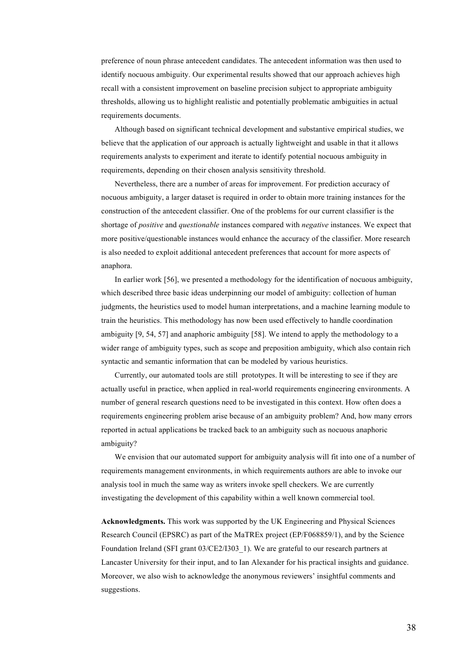preference of noun phrase antecedent candidates. The antecedent information was then used to identify nocuous ambiguity. Our experimental results showed that our approach achieves high recall with a consistent improvement on baseline precision subject to appropriate ambiguity thresholds, allowing us to highlight realistic and potentially problematic ambiguities in actual requirements documents.

Although based on significant technical development and substantive empirical studies, we believe that the application of our approach is actually lightweight and usable in that it allows requirements analysts to experiment and iterate to identify potential nocuous ambiguity in requirements, depending on their chosen analysis sensitivity threshold.

Nevertheless, there are a number of areas for improvement. For prediction accuracy of nocuous ambiguity, a larger dataset is required in order to obtain more training instances for the construction of the antecedent classifier. One of the problems for our current classifier is the shortage of *positive* and *questionable* instances compared with *negative* instances. We expect that more positive/questionable instances would enhance the accuracy of the classifier. More research is also needed to exploit additional antecedent preferences that account for more aspects of anaphora.

In earlier work [56], we presented a methodology for the identification of nocuous ambiguity, which described three basic ideas underpinning our model of ambiguity: collection of human judgments, the heuristics used to model human interpretations, and a machine learning module to train the heuristics. This methodology has now been used effectively to handle coordination ambiguity [9, 54, 57] and anaphoric ambiguity [58]. We intend to apply the methodology to a wider range of ambiguity types, such as scope and preposition ambiguity, which also contain rich syntactic and semantic information that can be modeled by various heuristics.

Currently, our automated tools are still prototypes. It will be interesting to see if they are actually useful in practice, when applied in real-world requirements engineering environments. A number of general research questions need to be investigated in this context. How often does a requirements engineering problem arise because of an ambiguity problem? And, how many errors reported in actual applications be tracked back to an ambiguity such as nocuous anaphoric ambiguity?

We envision that our automated support for ambiguity analysis will fit into one of a number of requirements management environments, in which requirements authors are able to invoke our analysis tool in much the same way as writers invoke spell checkers. We are currently investigating the development of this capability within a well known commercial tool.

**Acknowledgments.** This work was supported by the UK Engineering and Physical Sciences Research Council (EPSRC) as part of the MaTREx project (EP/F068859/1), and by the Science Foundation Ireland (SFI grant 03/CE2/I303\_1). We are grateful to our research partners at Lancaster University for their input, and to Ian Alexander for his practical insights and guidance. Moreover, we also wish to acknowledge the anonymous reviewers' insightful comments and suggestions.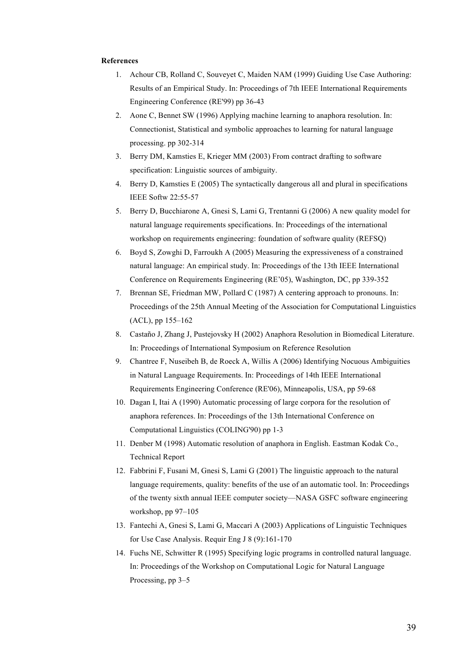#### **References**

- 1. Achour CB, Rolland C, Souveyet C, Maiden NAM (1999) Guiding Use Case Authoring: Results of an Empirical Study. In: Proceedings of 7th IEEE International Requirements Engineering Conference (RE'99) pp 36-43
- 2. Aone C, Bennet SW (1996) Applying machine learning to anaphora resolution. In: Connectionist, Statistical and symbolic approaches to learning for natural language processing. pp 302-314
- 3. Berry DM, Kamsties E, Krieger MM (2003) From contract drafting to software specification: Linguistic sources of ambiguity.
- 4. Berry D, Kamsties E (2005) The syntactically dangerous all and plural in specifications IEEE Softw 22:55-57
- 5. Berry D, Bucchiarone A, Gnesi S, Lami G, Trentanni G (2006) A new quality model for natural language requirements specifications. In: Proceedings of the international workshop on requirements engineering: foundation of software quality (REFSQ)
- 6. Boyd S, Zowghi D, Farroukh A (2005) Measuring the expressiveness of a constrained natural language: An empirical study. In: Proceedings of the 13th IEEE International Conference on Requirements Engineering (RE'05), Washington, DC, pp 339-352
- 7. Brennan SE, Friedman MW, Pollard C (1987) A centering approach to pronouns. In: Proceedings of the 25th Annual Meeting of the Association for Computational Linguistics (ACL), pp 155–162
- 8. Castaño J, Zhang J, Pustejovsky H (2002) Anaphora Resolution in Biomedical Literature. In: Proceedings of International Symposium on Reference Resolution
- 9. Chantree F, Nuseibeh B, de Roeck A, Willis A (2006) Identifying Nocuous Ambiguities in Natural Language Requirements. In: Proceedings of 14th IEEE International Requirements Engineering Conference (RE'06), Minneapolis, USA, pp 59-68
- 10. Dagan I, Itai A (1990) Automatic processing of large corpora for the resolution of anaphora references. In: Proceedings of the 13th International Conference on Computational Linguistics (COLING'90) pp 1-3
- 11. Denber M (1998) Automatic resolution of anaphora in English. Eastman Kodak Co., Technical Report
- 12. Fabbrini F, Fusani M, Gnesi S, Lami G (2001) The linguistic approach to the natural language requirements, quality: benefits of the use of an automatic tool. In: Proceedings of the twenty sixth annual IEEE computer society—NASA GSFC software engineering workshop, pp 97–105
- 13. Fantechi A, Gnesi S, Lami G, Maccari A (2003) Applications of Linguistic Techniques for Use Case Analysis. Requir Eng J 8 (9):161-170
- 14. Fuchs NE, Schwitter R (1995) Specifying logic programs in controlled natural language. In: Proceedings of the Workshop on Computational Logic for Natural Language Processing, pp 3–5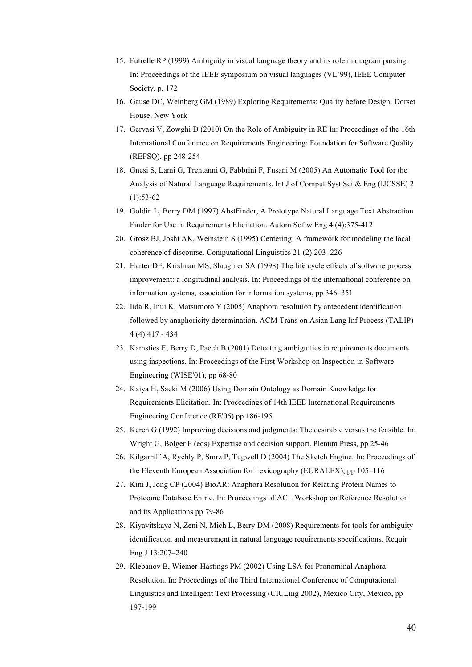- 15. Futrelle RP (1999) Ambiguity in visual language theory and its role in diagram parsing. In: Proceedings of the IEEE symposium on visual languages (VL'99), IEEE Computer Society, p. 172
- 16. Gause DC, Weinberg GM (1989) Exploring Requirements: Quality before Design. Dorset House, New York
- 17. Gervasi V, Zowghi D (2010) On the Role of Ambiguity in RE In: Proceedings of the 16th International Conference on Requirements Engineering: Foundation for Software Quality (REFSQ), pp 248-254
- 18. Gnesi S, Lami G, Trentanni G, Fabbrini F, Fusani M (2005) An Automatic Tool for the Analysis of Natural Language Requirements. Int J of Comput Syst Sci & Eng (IJCSSE) 2  $(1):$ 53-62
- 19. Goldin L, Berry DM (1997) AbstFinder, A Prototype Natural Language Text Abstraction Finder for Use in Requirements Elicitation. Autom Softw Eng 4 (4):375-412
- 20. Grosz BJ, Joshi AK, Weinstein S (1995) Centering: A framework for modeling the local coherence of discourse. Computational Linguistics 21 (2):203–226
- 21. Harter DE, Krishnan MS, Slaughter SA (1998) The life cycle effects of software process improvement: a longitudinal analysis. In: Proceedings of the international conference on information systems, association for information systems, pp 346–351
- 22. Iida R, Inui K, Matsumoto Y (2005) Anaphora resolution by antecedent identification followed by anaphoricity determination. ACM Trans on Asian Lang Inf Process (TALIP) 4 (4):417 - 434
- 23. Kamsties E, Berry D, Paech B (2001) Detecting ambiguities in requirements documents using inspections. In: Proceedings of the First Workshop on Inspection in Software Engineering (WISE'01), pp 68-80
- 24. Kaiya H, Saeki M (2006) Using Domain Ontology as Domain Knowledge for Requirements Elicitation. In: Proceedings of 14th IEEE International Requirements Engineering Conference (RE'06) pp 186-195
- 25. Keren G (1992) Improving decisions and judgments: The desirable versus the feasible. In: Wright G, Bolger F (eds) Expertise and decision support. Plenum Press, pp 25-46
- 26. Kilgarriff A, Rychly P, Smrz P, Tugwell D (2004) The Sketch Engine. In: Proceedings of the Eleventh European Association for Lexicography (EURALEX), pp 105–116
- 27. Kim J, Jong CP (2004) BioAR: Anaphora Resolution for Relating Protein Names to Proteome Database Entrie. In: Proceedings of ACL Workshop on Reference Resolution and its Applications pp 79-86
- 28. Kiyavitskaya N, Zeni N, Mich L, Berry DM (2008) Requirements for tools for ambiguity identification and measurement in natural language requirements specifications. Requir Eng J 13:207–240
- 29. Klebanov B, Wiemer-Hastings PM (2002) Using LSA for Pronominal Anaphora Resolution. In: Proceedings of the Third International Conference of Computational Linguistics and Intelligent Text Processing (CICLing 2002), Mexico City, Mexico, pp 197-199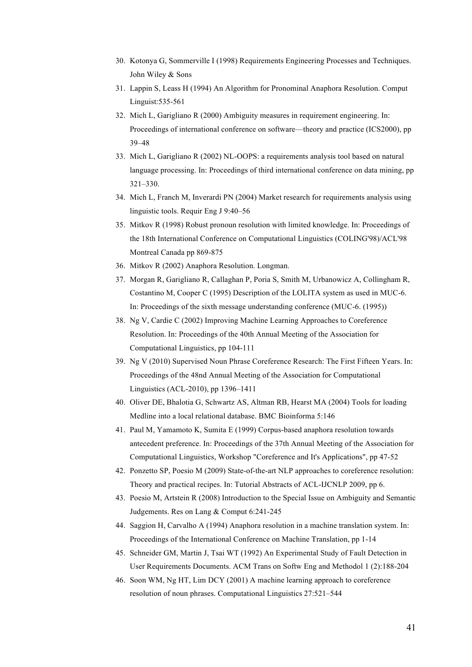- 30. Kotonya G, Sommerville I (1998) Requirements Engineering Processes and Techniques. John Wiley & Sons
- 31. Lappin S, Leass H (1994) An Algorithm for Pronominal Anaphora Resolution. Comput Linguist:535-561
- 32. Mich L, Garigliano R (2000) Ambiguity measures in requirement engineering. In: Proceedings of international conference on software—theory and practice (ICS2000), pp 39–48
- 33. Mich L, Garigliano R (2002) NL-OOPS: a requirements analysis tool based on natural language processing. In: Proceedings of third international conference on data mining, pp 321–330.
- 34. Mich L, Franch M, Inverardi PN (2004) Market research for requirements analysis using linguistic tools. Requir Eng J 9:40–56
- 35. Mitkov R (1998) Robust pronoun resolution with limited knowledge. In: Proceedings of the 18th International Conference on Computational Linguistics (COLING'98)/ACL'98 Montreal Canada pp 869-875
- 36. Mitkov R (2002) Anaphora Resolution. Longman.
- 37. Morgan R, Garigliano R, Callaghan P, Poria S, Smith M, Urbanowicz A, Collingham R, Costantino M, Cooper C (1995) Description of the LOLITA system as used in MUC-6. In: Proceedings of the sixth message understanding conference (MUC-6. (1995))
- 38. Ng V, Cardie C (2002) Improving Machine Learning Approaches to Coreference Resolution. In: Proceedings of the 40th Annual Meeting of the Association for Computational Linguistics, pp 104-111
- 39. Ng V (2010) Supervised Noun Phrase Coreference Research: The First Fifteen Years. In: Proceedings of the 48nd Annual Meeting of the Association for Computational Linguistics (ACL-2010), pp 1396–1411
- 40. Oliver DE, Bhalotia G, Schwartz AS, Altman RB, Hearst MA (2004) Tools for loading Medline into a local relational database. BMC Bioinforma 5:146
- 41. Paul M, Yamamoto K, Sumita E (1999) Corpus-based anaphora resolution towards antecedent preference. In: Proceedings of the 37th Annual Meeting of the Association for Computational Linguistics, Workshop "Coreference and It's Applications", pp 47-52
- 42. Ponzetto SP, Poesio M (2009) State-of-the-art NLP approaches to coreference resolution: Theory and practical recipes. In: Tutorial Abstracts of ACL-IJCNLP 2009, pp 6.
- 43. Poesio M, Artstein R (2008) Introduction to the Special Issue on Ambiguity and Semantic Judgements. Res on Lang & Comput 6:241-245
- 44. Saggion H, Carvalho A (1994) Anaphora resolution in a machine translation system. In: Proceedings of the International Conference on Machine Translation, pp 1-14
- 45. Schneider GM, Martin J, Tsai WT (1992) An Experimental Study of Fault Detection in User Requirements Documents. ACM Trans on Softw Eng and Methodol 1 (2):188-204
- 46. Soon WM, Ng HT, Lim DCY (2001) A machine learning approach to coreference resolution of noun phrases. Computational Linguistics 27:521–544